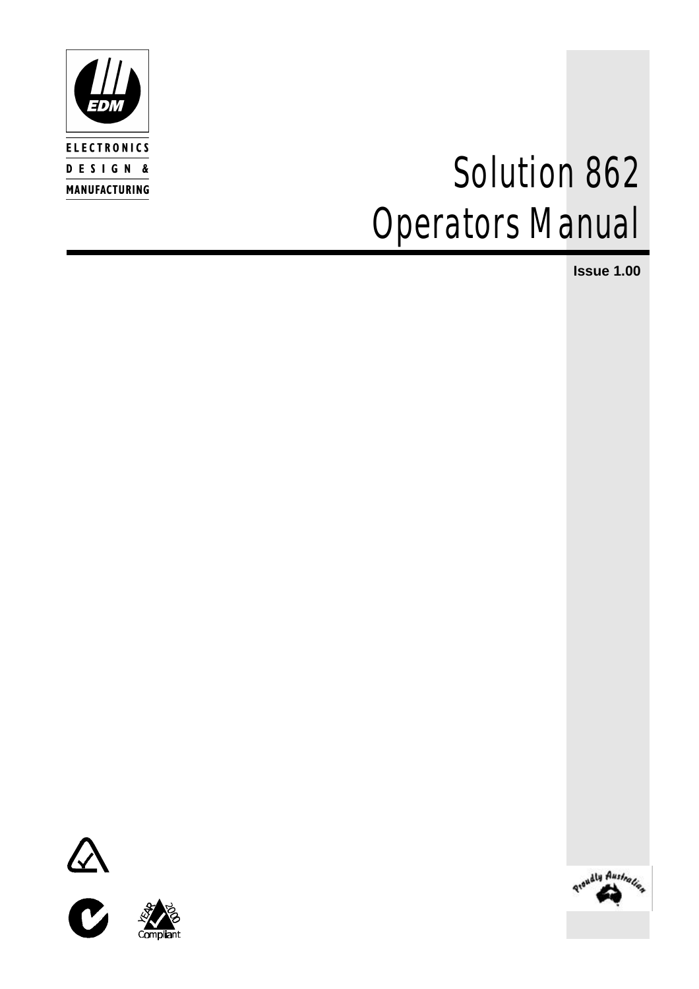

# *Solution 862 Operators Manual*

**Issue 1.00**







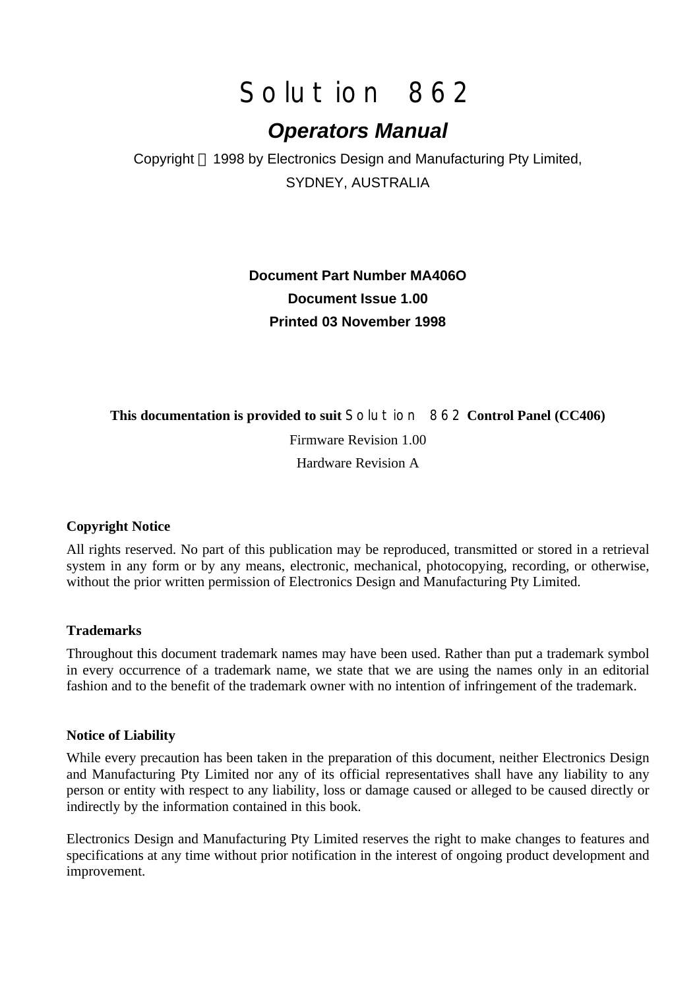# *Solution 862*

# *Operators Manual*

Copyright 1998 by Electronics Design and Manufacturing Pty Limited, SYDNEY, AUSTRALIA

# **Document Part Number MA406O Document Issue 1.00 Printed 03 November 1998**

#### **This documentation is provided to suit** *Solution 862* **Control Panel (CC406)**

Firmware Revision 1.00

Hardware Revision A

#### **Copyright Notice**

All rights reserved. No part of this publication may be reproduced, transmitted or stored in a retrieval system in any form or by any means, electronic, mechanical, photocopying, recording, or otherwise, without the prior written permission of Electronics Design and Manufacturing Pty Limited.

#### **Trademarks**

Throughout this document trademark names may have been used. Rather than put a trademark symbol in every occurrence of a trademark name, we state that we are using the names only in an editorial fashion and to the benefit of the trademark owner with no intention of infringement of the trademark.

#### **Notice of Liability**

While every precaution has been taken in the preparation of this document, neither Electronics Design and Manufacturing Pty Limited nor any of its official representatives shall have any liability to any person or entity with respect to any liability, loss or damage caused or alleged to be caused directly or indirectly by the information contained in this book.

Electronics Design and Manufacturing Pty Limited reserves the right to make changes to features and specifications at any time without prior notification in the interest of ongoing product development and improvement.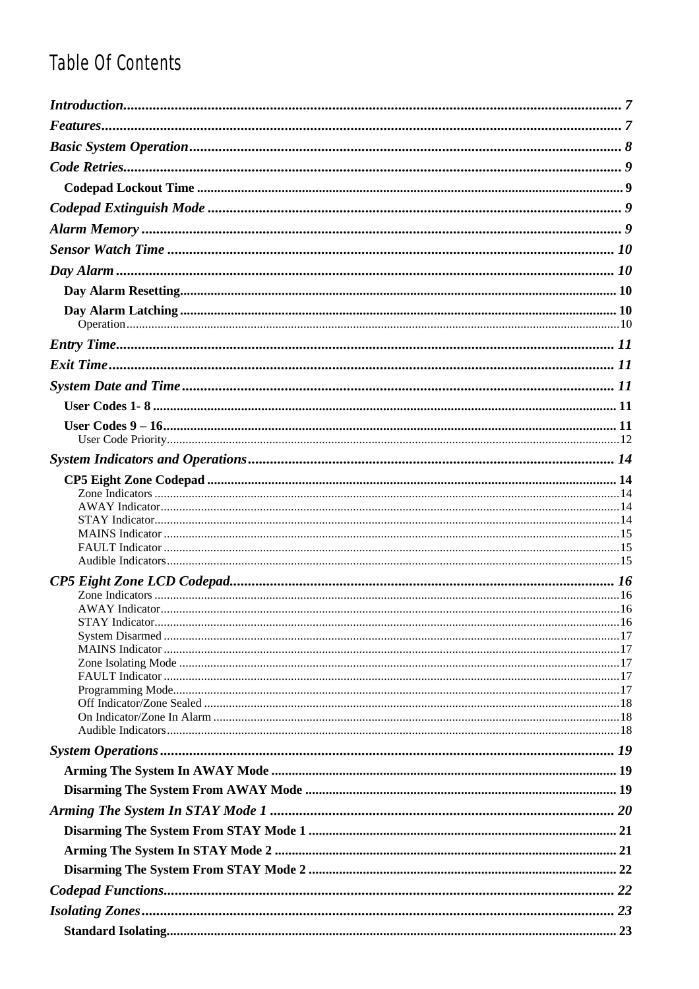# Table Of Contents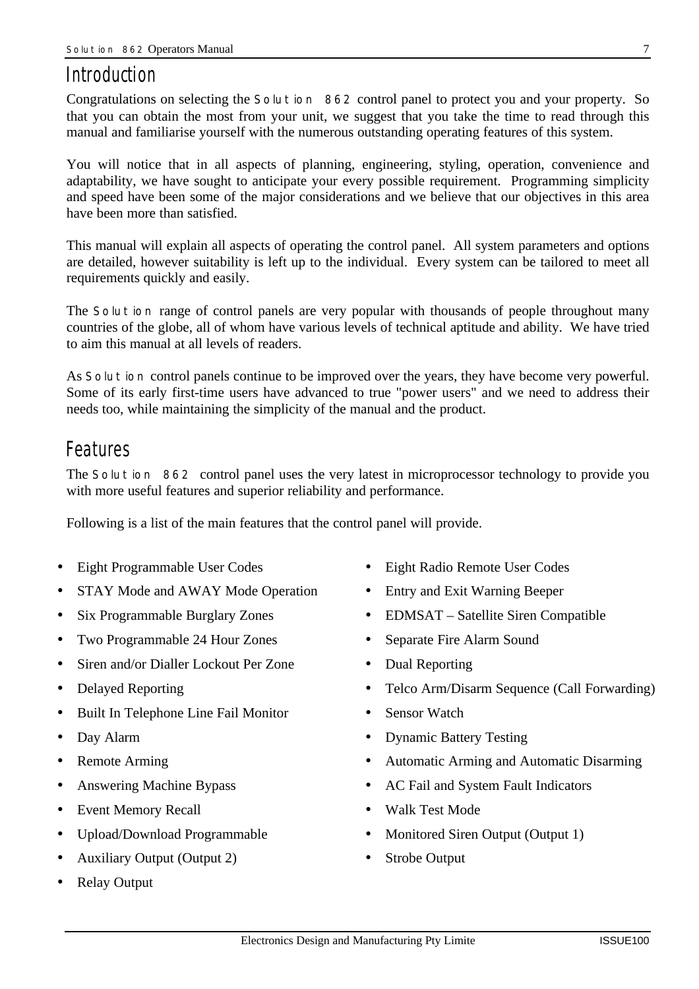# *Introduction*

Congratulations on selecting the *Solution 862* control panel to protect you and your property. So that you can obtain the most from your unit, we suggest that you take the time to read through this manual and familiarise yourself with the numerous outstanding operating features of this system.

You will notice that in all aspects of planning, engineering, styling, operation, convenience and adaptability, we have sought to anticipate your every possible requirement. Programming simplicity and speed have been some of the major considerations and we believe that our objectives in this area have been more than satisfied.

This manual will explain all aspects of operating the control panel. All system parameters and options are detailed, however suitability is left up to the individual. Every system can be tailored to meet all requirements quickly and easily.

The *Solution* range of control panels are very popular with thousands of people throughout many countries of the globe, all of whom have various levels of technical aptitude and ability. We have tried to aim this manual at all levels of readers.

As *Solution* control panels continue to be improved over the years, they have become very powerful. Some of its early first-time users have advanced to true "power users" and we need to address their needs too, while maintaining the simplicity of the manual and the product.

# *Features*

The *Solution 862* control panel uses the very latest in microprocessor technology to provide you with more useful features and superior reliability and performance.

Following is a list of the main features that the control panel will provide.

- Eight Programmable User Codes Eight Radio Remote User Codes
- STAY Mode and AWAY Mode Operation Entry and Exit Warning Beeper
- 
- Two Programmable 24 Hour Zones Separate Fire Alarm Sound
- Siren and/or Dialler Lockout Per Zone Dual Reporting
- 
- Built In Telephone Line Fail Monitor Sensor Watch
- 
- 
- 
- Event Memory Recall Walk Test Mode
- 
- Auxiliary Output (Output 2) Strobe Output
- Relay Output
- 
- 
- Six Programmable Burglary Zones EDMSAT Satellite Siren Compatible
	-
	-
- Delayed Reporting Telco Arm/Disarm Sequence (Call Forwarding)
	-
- Day Alarm Dynamic Battery Testing
- Remote Arming Automatic Arming and Automatic Disarming
- Answering Machine Bypass AC Fail and System Fault Indicators
	-
	- Upload/Download Programmable Monitored Siren Output (Output 1)
		-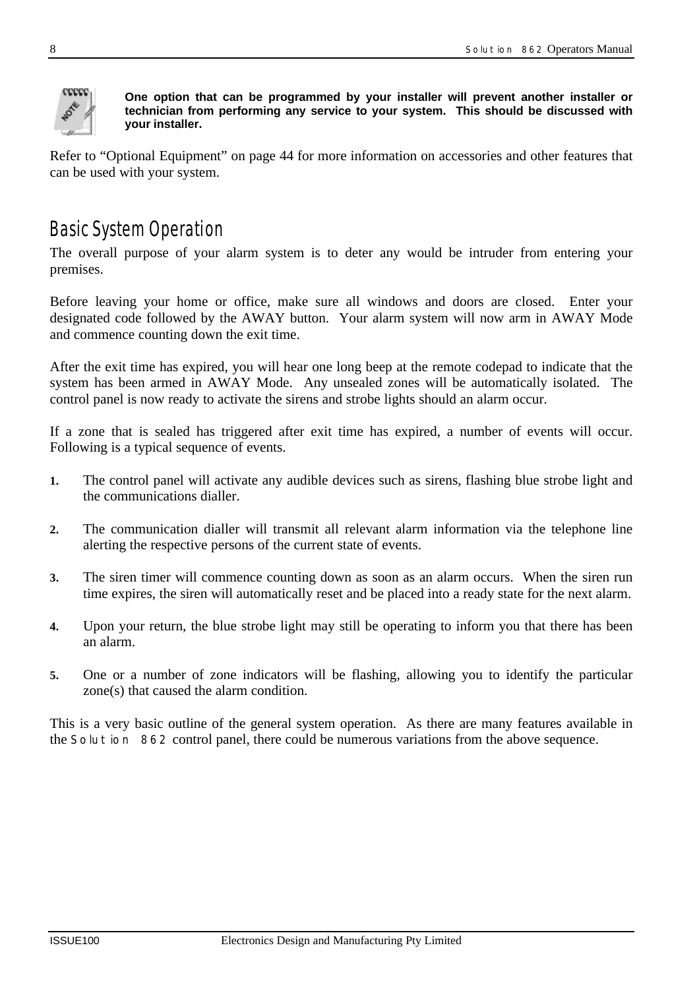

**One option that can be programmed by your installer will prevent another installer or technician from performing any service to your system. This should be discussed with your installer.**

Refer to "Optional Equipment" on page 44 for more information on accessories and other features that can be used with your system.

# *Basic System Operation*

The overall purpose of your alarm system is to deter any would be intruder from entering your premises.

Before leaving your home or office, make sure all windows and doors are closed. Enter your designated code followed by the AWAY button. Your alarm system will now arm in AWAY Mode and commence counting down the exit time.

After the exit time has expired, you will hear one long beep at the remote codepad to indicate that the system has been armed in AWAY Mode. Any unsealed zones will be automatically isolated. The control panel is now ready to activate the sirens and strobe lights should an alarm occur.

If a zone that is sealed has triggered after exit time has expired, a number of events will occur. Following is a typical sequence of events.

- **1.** The control panel will activate any audible devices such as sirens, flashing blue strobe light and the communications dialler.
- **2.** The communication dialler will transmit all relevant alarm information via the telephone line alerting the respective persons of the current state of events.
- **3.** The siren timer will commence counting down as soon as an alarm occurs. When the siren run time expires, the siren will automatically reset and be placed into a ready state for the next alarm.
- **4.** Upon your return, the blue strobe light may still be operating to inform you that there has been an alarm.
- **5.** One or a number of zone indicators will be flashing, allowing you to identify the particular zone(s) that caused the alarm condition.

This is a very basic outline of the general system operation. As there are many features available in the *Solution 862* control panel, there could be numerous variations from the above sequence.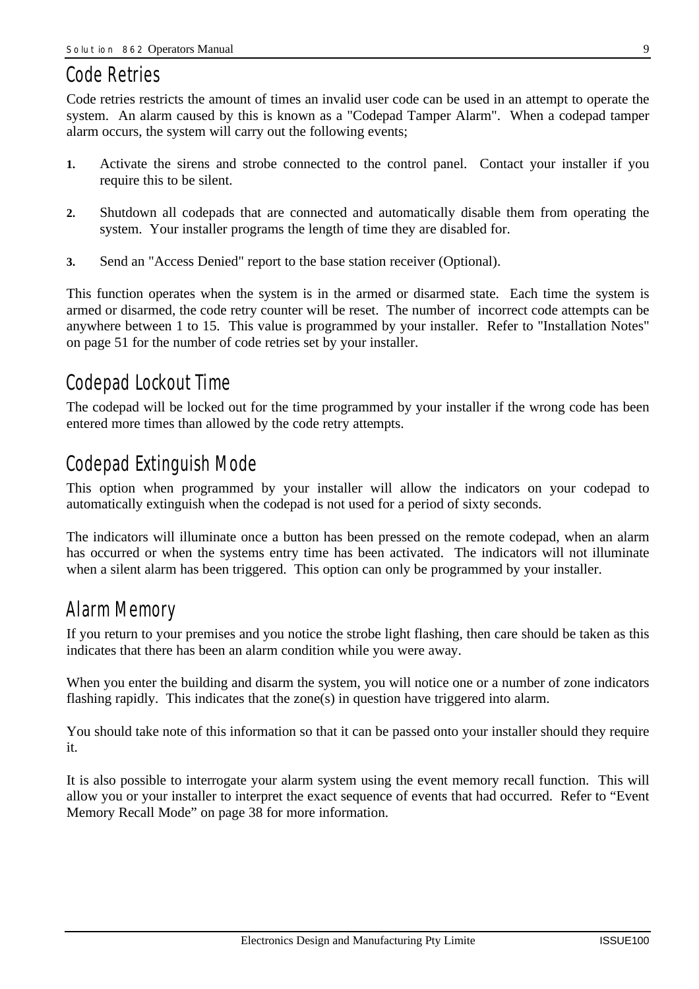# *Code Retries*

Code retries restricts the amount of times an invalid user code can be used in an attempt to operate the system. An alarm caused by this is known as a "Codepad Tamper Alarm". When a codepad tamper alarm occurs, the system will carry out the following events;

- **1.** Activate the sirens and strobe connected to the control panel. Contact your installer if you require this to be silent.
- **2.** Shutdown all codepads that are connected and automatically disable them from operating the system. Your installer programs the length of time they are disabled for.
- **3.** Send an "Access Denied" report to the base station receiver (Optional).

This function operates when the system is in the armed or disarmed state. Each time the system is armed or disarmed, the code retry counter will be reset. The number of incorrect code attempts can be anywhere between 1 to 15. This value is programmed by your installer. Refer to "Installation Notes" on page 51 for the number of code retries set by your installer.

# *Codepad Lockout Time*

The codepad will be locked out for the time programmed by your installer if the wrong code has been entered more times than allowed by the code retry attempts.

# *Codepad Extinguish Mode*

This option when programmed by your installer will allow the indicators on your codepad to automatically extinguish when the codepad is not used for a period of sixty seconds.

The indicators will illuminate once a button has been pressed on the remote codepad, when an alarm has occurred or when the systems entry time has been activated. The indicators will not illuminate when a silent alarm has been triggered. This option can only be programmed by your installer.

# *Alarm Memory*

If you return to your premises and you notice the strobe light flashing, then care should be taken as this indicates that there has been an alarm condition while you were away.

When you enter the building and disarm the system, you will notice one or a number of zone indicators flashing rapidly. This indicates that the zone(s) in question have triggered into alarm.

You should take note of this information so that it can be passed onto your installer should they require it.

It is also possible to interrogate your alarm system using the event memory recall function. This will allow you or your installer to interpret the exact sequence of events that had occurred. Refer to "Event Memory Recall Mode" on page 38 for more information.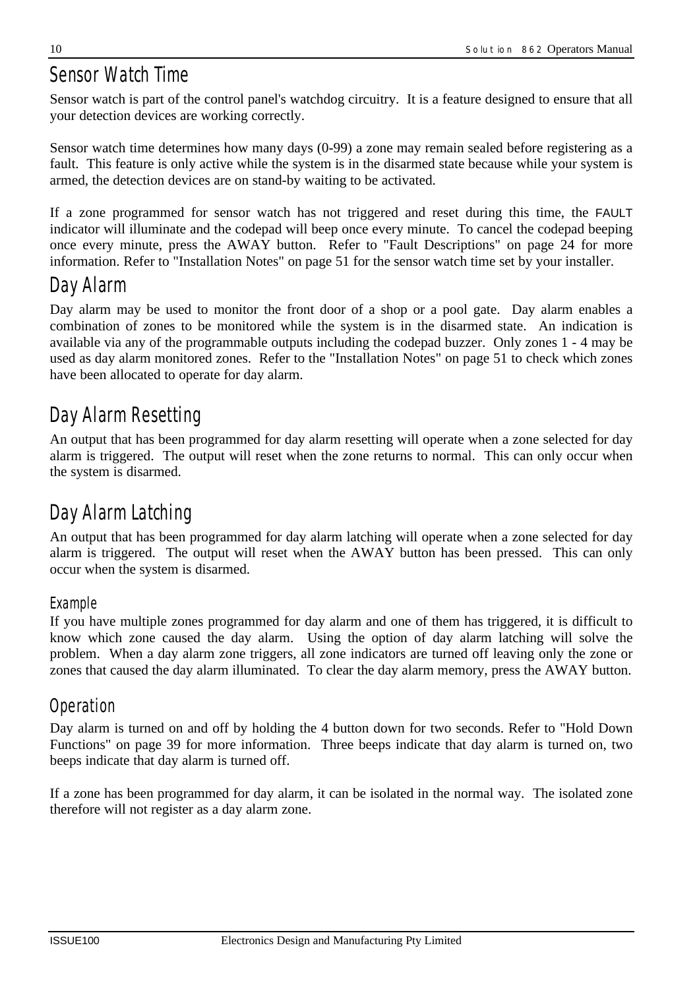# *Sensor Watch Time*

Sensor watch is part of the control panel's watchdog circuitry. It is a feature designed to ensure that all your detection devices are working correctly.

Sensor watch time determines how many days (0-99) a zone may remain sealed before registering as a fault. This feature is only active while the system is in the disarmed state because while your system is armed, the detection devices are on stand-by waiting to be activated.

If a zone programmed for sensor watch has not triggered and reset during this time, the FAULT indicator will illuminate and the codepad will beep once every minute. To cancel the codepad beeping once every minute, press the AWAY button. Refer to "Fault Descriptions" on page 24 for more information. Refer to "Installation Notes" on page 51 for the sensor watch time set by your installer.

# *Day Alarm*

Day alarm may be used to monitor the front door of a shop or a pool gate. Day alarm enables a combination of zones to be monitored while the system is in the disarmed state. An indication is available via any of the programmable outputs including the codepad buzzer. Only zones 1 - 4 may be used as day alarm monitored zones. Refer to the "Installation Notes" on page 51 to check which zones have been allocated to operate for day alarm.

# *Day Alarm Resetting*

An output that has been programmed for day alarm resetting will operate when a zone selected for day alarm is triggered. The output will reset when the zone returns to normal. This can only occur when the system is disarmed.

# *Day Alarm Latching*

An output that has been programmed for day alarm latching will operate when a zone selected for day alarm is triggered. The output will reset when the AWAY button has been pressed. This can only occur when the system is disarmed.

### *Example*

If you have multiple zones programmed for day alarm and one of them has triggered, it is difficult to know which zone caused the day alarm. Using the option of day alarm latching will solve the problem. When a day alarm zone triggers, all zone indicators are turned off leaving only the zone or zones that caused the day alarm illuminated. To clear the day alarm memory, press the AWAY button.

# *Operation*

Day alarm is turned on and off by holding the 4 button down for two seconds. Refer to "Hold Down Functions" on page 39 for more information. Three beeps indicate that day alarm is turned on, two beeps indicate that day alarm is turned off.

If a zone has been programmed for day alarm, it can be isolated in the normal way. The isolated zone therefore will not register as a day alarm zone.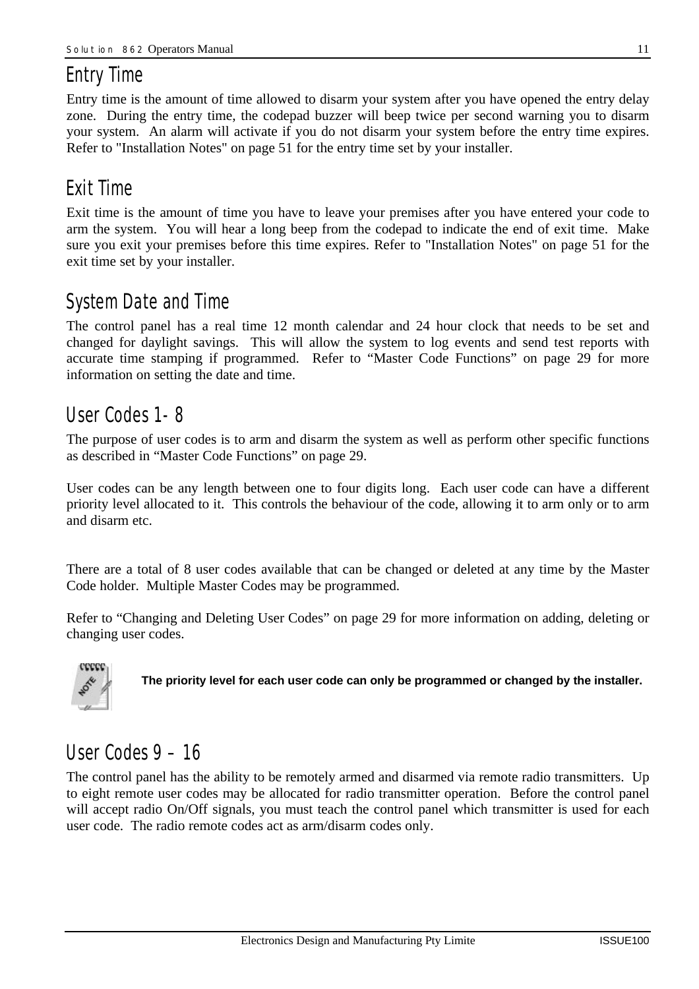# *Entry Time*

Entry time is the amount of time allowed to disarm your system after you have opened the entry delay zone. During the entry time, the codepad buzzer will beep twice per second warning you to disarm your system. An alarm will activate if you do not disarm your system before the entry time expires. Refer to "Installation Notes" on page 51 for the entry time set by your installer.

# *Exit Time*

Exit time is the amount of time you have to leave your premises after you have entered your code to arm the system. You will hear a long beep from the codepad to indicate the end of exit time. Make sure you exit your premises before this time expires. Refer to "Installation Notes" on page 51 for the exit time set by your installer.

# *System Date and Time*

The control panel has a real time 12 month calendar and 24 hour clock that needs to be set and changed for daylight savings. This will allow the system to log events and send test reports with accurate time stamping if programmed. Refer to "Master Code Functions" on page 29 for more information on setting the date and time.

# *User Codes 1- 8*

The purpose of user codes is to arm and disarm the system as well as perform other specific functions as described in "Master Code Functions" on page 29.

User codes can be any length between one to four digits long. Each user code can have a different priority level allocated to it. This controls the behaviour of the code, allowing it to arm only or to arm and disarm etc.

There are a total of 8 user codes available that can be changed or deleted at any time by the Master Code holder. Multiple Master Codes may be programmed.

Refer to "Changing and Deleting User Codes" on page 29 for more information on adding, deleting or changing user codes.



**The priority level for each user code can only be programmed or changed by the installer.**

# *User Codes 9 – 16*

The control panel has the ability to be remotely armed and disarmed via remote radio transmitters. Up to eight remote user codes may be allocated for radio transmitter operation. Before the control panel will accept radio On/Off signals, you must teach the control panel which transmitter is used for each user code. The radio remote codes act as arm/disarm codes only.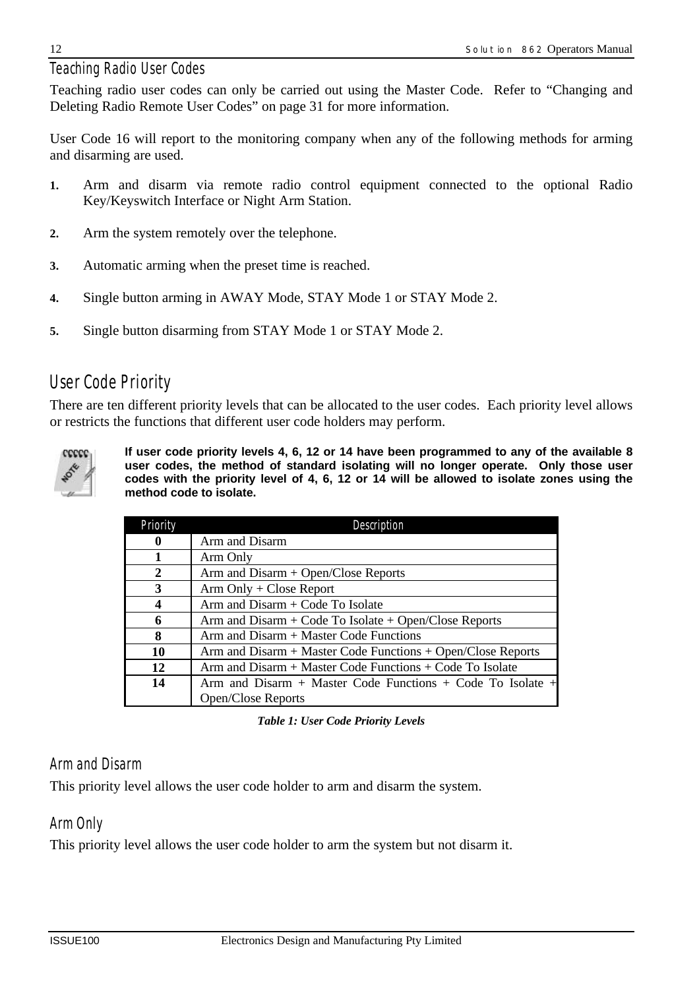### *Teaching Radio User Codes*

Teaching radio user codes can only be carried out using the Master Code. Refer to "Changing and Deleting Radio Remote User Codes" on page 31 for more information.

User Code 16 will report to the monitoring company when any of the following methods for arming and disarming are used.

- **1.** Arm and disarm via remote radio control equipment connected to the optional Radio Key/Keyswitch Interface or Night Arm Station.
- **2.** Arm the system remotely over the telephone.
- **3.** Automatic arming when the preset time is reached.
- **4.** Single button arming in AWAY Mode, STAY Mode 1 or STAY Mode 2.
- **5.** Single button disarming from STAY Mode 1 or STAY Mode 2.

# *User Code Priority*

There are ten different priority levels that can be allocated to the user codes. Each priority level allows or restricts the functions that different user code holders may perform.



**If user code priority levels 4, 6, 12 or 14 have been programmed to any of the available 8 user codes, the method of standard isolating will no longer operate. Only those user codes with the priority level of 4, 6, 12 or 14 will be allowed to isolate zones using the method code to isolate.**

| Priority | Description                                                     |
|----------|-----------------------------------------------------------------|
| $\bf{0}$ | Arm and Disarm                                                  |
|          | Arm Only                                                        |
| 2        | $Arm$ and $Disarm + Open/Close$ Reports                         |
| 3        | $Arm Only + Close Report$                                       |
| 4        | $Arm and Disarm + Code To Isolate$                              |
| 6        | Arm and Disarm $+$ Code To Isolate $+$ Open/Close Reports       |
| 8        | $Arm$ and $Disarm + Master Code Functions$                      |
| 10       | $Arm$ and $Disarm + Master Code Functions + Open/Close Reports$ |
| 12       | Arm and Disarm + Master Code Functions + Code To Isolate        |
| 14       | Arm and Disarm + Master Code Functions + Code To Isolate +      |
|          | Open/Close Reports                                              |

*Table 1: User Code Priority Levels*

### *Arm and Disarm*

This priority level allows the user code holder to arm and disarm the system.

#### *Arm Only*

This priority level allows the user code holder to arm the system but not disarm it.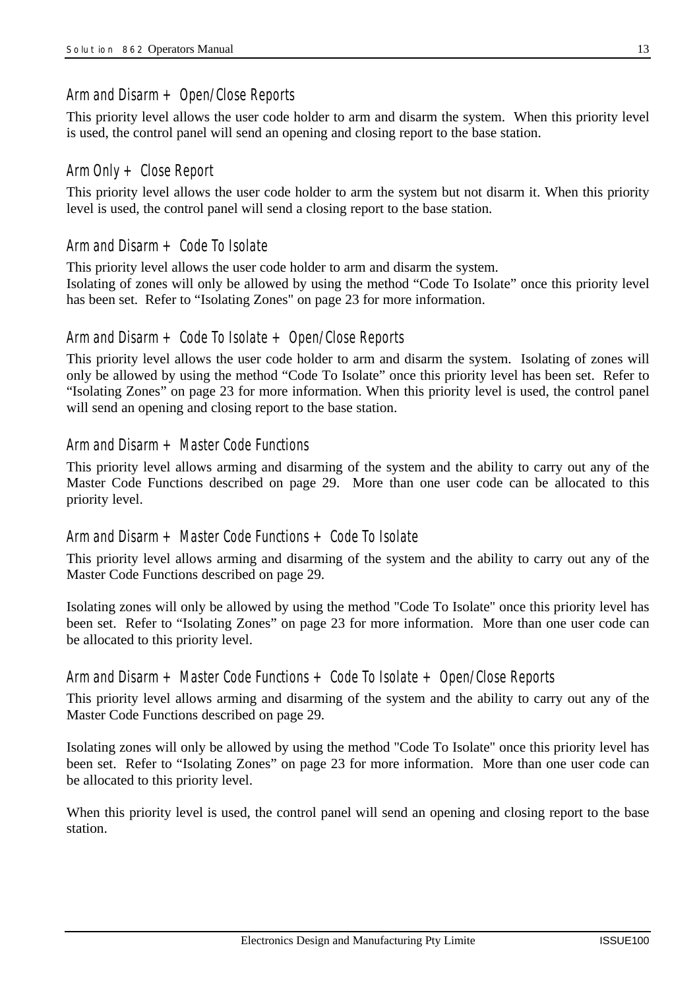#### *Arm and Disarm + Open/Close Reports*

This priority level allows the user code holder to arm and disarm the system. When this priority level is used, the control panel will send an opening and closing report to the base station.

#### *Arm Only + Close Report*

This priority level allows the user code holder to arm the system but not disarm it. When this priority level is used, the control panel will send a closing report to the base station.

#### *Arm and Disarm + Code To Isolate*

This priority level allows the user code holder to arm and disarm the system.

Isolating of zones will only be allowed by using the method "Code To Isolate" once this priority level has been set. Refer to "Isolating Zones" on page 23 for more information.

#### *Arm and Disarm + Code To Isolate + Open/Close Reports*

This priority level allows the user code holder to arm and disarm the system. Isolating of zones will only be allowed by using the method "Code To Isolate" once this priority level has been set. Refer to "Isolating Zones" on page 23 for more information. When this priority level is used, the control panel will send an opening and closing report to the base station.

#### *Arm and Disarm + Master Code Functions*

This priority level allows arming and disarming of the system and the ability to carry out any of the Master Code Functions described on page 29. More than one user code can be allocated to this priority level.

#### *Arm and Disarm + Master Code Functions + Code To Isolate*

This priority level allows arming and disarming of the system and the ability to carry out any of the Master Code Functions described on page 29.

Isolating zones will only be allowed by using the method "Code To Isolate" once this priority level has been set. Refer to "Isolating Zones" on page 23 for more information. More than one user code can be allocated to this priority level.

#### *Arm and Disarm + Master Code Functions + Code To Isolate + Open/Close Reports*

This priority level allows arming and disarming of the system and the ability to carry out any of the Master Code Functions described on page 29.

Isolating zones will only be allowed by using the method "Code To Isolate" once this priority level has been set. Refer to "Isolating Zones" on page 23 for more information. More than one user code can be allocated to this priority level.

When this priority level is used, the control panel will send an opening and closing report to the base station.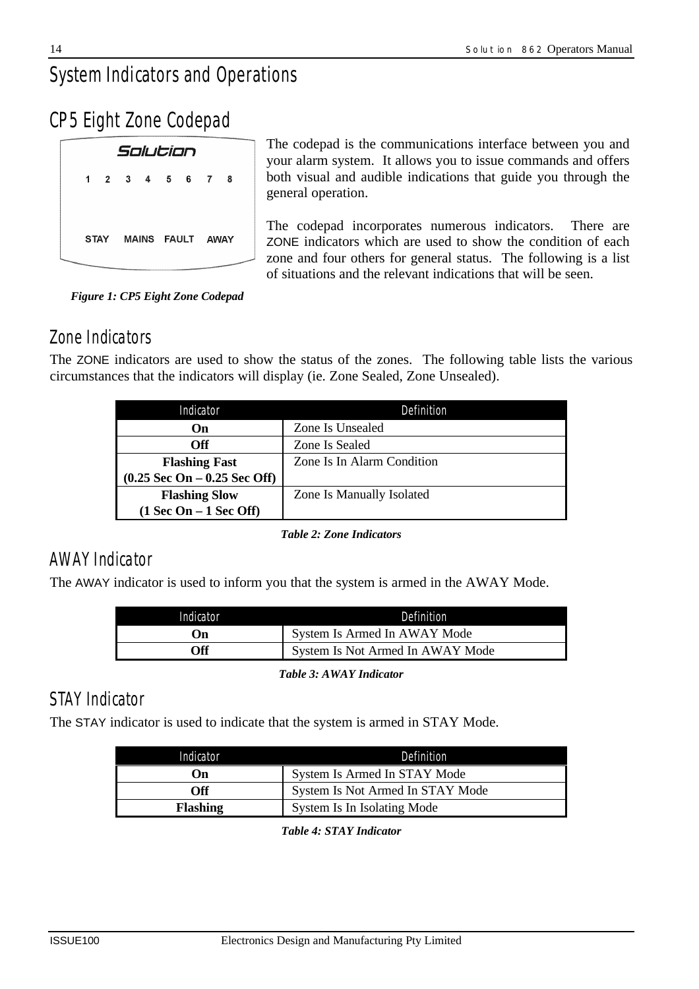# *System Indicators and Operations*

*CP5 Eight Zone Codepad*

|                            |  | Solution |                       |                                      |                            |  |
|----------------------------|--|----------|-----------------------|--------------------------------------|----------------------------|--|
|                            |  |          | 1 2 3 4 5 6 7         |                                      | - 8                        |  |
|                            |  |          |                       |                                      |                            |  |
|                            |  |          | STAY MAINS FAULT AWAY |                                      |                            |  |
| <b>Services Controller</b> |  |          |                       | FOR PARTICULAR CONTRACTOR CONTRACTOR | ananamanananananananananan |  |

The codepad is the communications interface between you and your alarm system. It allows you to issue commands and offers both visual and audible indications that guide you through the general operation.

The codepad incorporates numerous indicators. There are ZONE indicators which are used to show the condition of each zone and four others for general status. The following is a list of situations and the relevant indications that will be seen.

*Figure 1: CP5 Eight Zone Codepad*

# *Zone Indicators*

The ZONE indicators are used to show the status of the zones. The following table lists the various circumstances that the indicators will display (ie. Zone Sealed, Zone Unsealed).

| Indicator                                      | Definition                 |  |  |
|------------------------------------------------|----------------------------|--|--|
| On)                                            | Zone Is Unsealed           |  |  |
| Off                                            | Zone Is Sealed             |  |  |
| <b>Flashing Fast</b>                           | Zone Is In Alarm Condition |  |  |
| $(0.25 \text{ Sec On} - 0.25 \text{ Sec Off})$ |                            |  |  |
| <b>Flashing Slow</b>                           | Zone Is Manually Isolated  |  |  |
| $(1$ Sec On $-1$ Sec Off)                      |                            |  |  |

*Table 2: Zone Indicators*

# *AWAY Indicator*

The AWAY indicator is used to inform you that the system is armed in the AWAY Mode.

| Indicator | Definition                       |
|-----------|----------------------------------|
| On)       | System Is Armed In AWAY Mode     |
| Off       | System Is Not Armed In AWAY Mode |

*Table 3: AWAY Indicator*

# *STAY Indicator*

The STAY indicator is used to indicate that the system is armed in STAY Mode.

| Indicator       | Definition                       |
|-----------------|----------------------------------|
| On)             | System Is Armed In STAY Mode     |
| Off             | System Is Not Armed In STAY Mode |
| <b>Flashing</b> | System Is In Isolating Mode      |

*Table 4: STAY Indicator*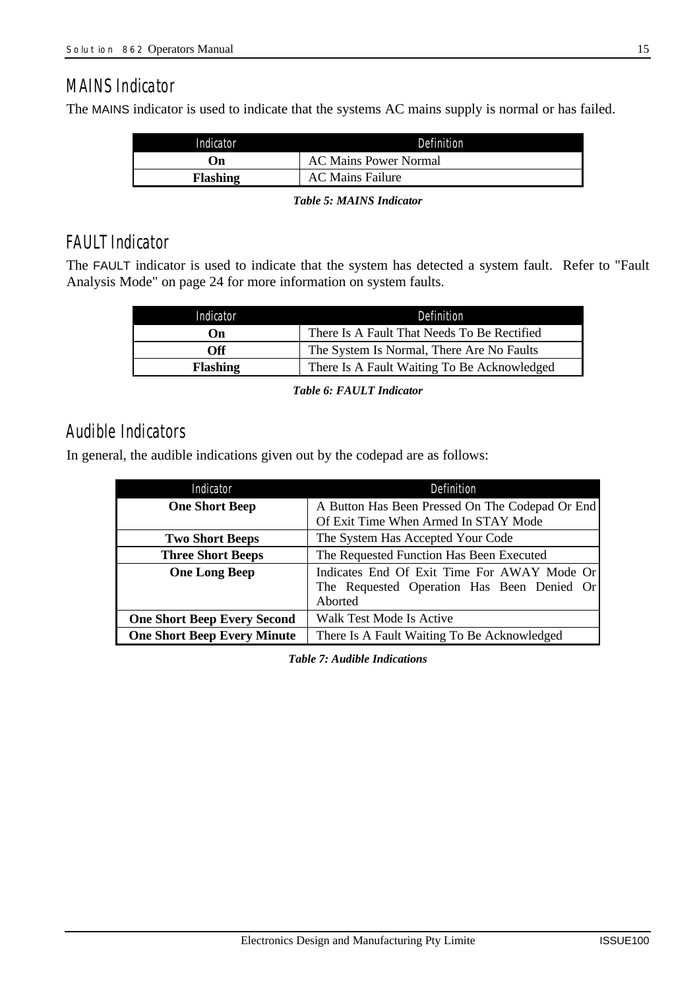# *MAINS Indicator*

The MAINS indicator is used to indicate that the systems AC mains supply is normal or has failed.

| Indicator       | Definition                   |
|-----------------|------------------------------|
| ()n             | <b>AC Mains Power Normal</b> |
| <b>Flashing</b> | <b>AC Mains Failure</b>      |
|                 |                              |

*Table 5: MAINS Indicator*

# *FAULT Indicator*

The FAULT indicator is used to indicate that the system has detected a system fault. Refer to "Fault Analysis Mode" on page 24 for more information on system faults.

| Indicator       | Definition                                  |  |  |
|-----------------|---------------------------------------------|--|--|
| On)             | There Is A Fault That Needs To Be Rectified |  |  |
| Off             | The System Is Normal, There Are No Faults   |  |  |
| <b>Flashing</b> | There Is A Fault Waiting To Be Acknowledged |  |  |

*Table 6: FAULT Indicator*

# *Audible Indicators*

In general, the audible indications given out by the codepad are as follows:

| Indicator                          | Definition                                                                                           |  |  |
|------------------------------------|------------------------------------------------------------------------------------------------------|--|--|
| <b>One Short Beep</b>              | A Button Has Been Pressed On The Codepad Or End                                                      |  |  |
|                                    | Of Exit Time When Armed In STAY Mode                                                                 |  |  |
| <b>Two Short Beeps</b>             | The System Has Accepted Your Code                                                                    |  |  |
| <b>Three Short Beeps</b>           | The Requested Function Has Been Executed                                                             |  |  |
| <b>One Long Beep</b>               | Indicates End Of Exit Time For AWAY Mode Or<br>The Requested Operation Has Been Denied Or<br>Aborted |  |  |
| <b>One Short Beep Every Second</b> | Walk Test Mode Is Active                                                                             |  |  |
| <b>One Short Beep Every Minute</b> | There Is A Fault Waiting To Be Acknowledged                                                          |  |  |

*Table 7: Audible Indications*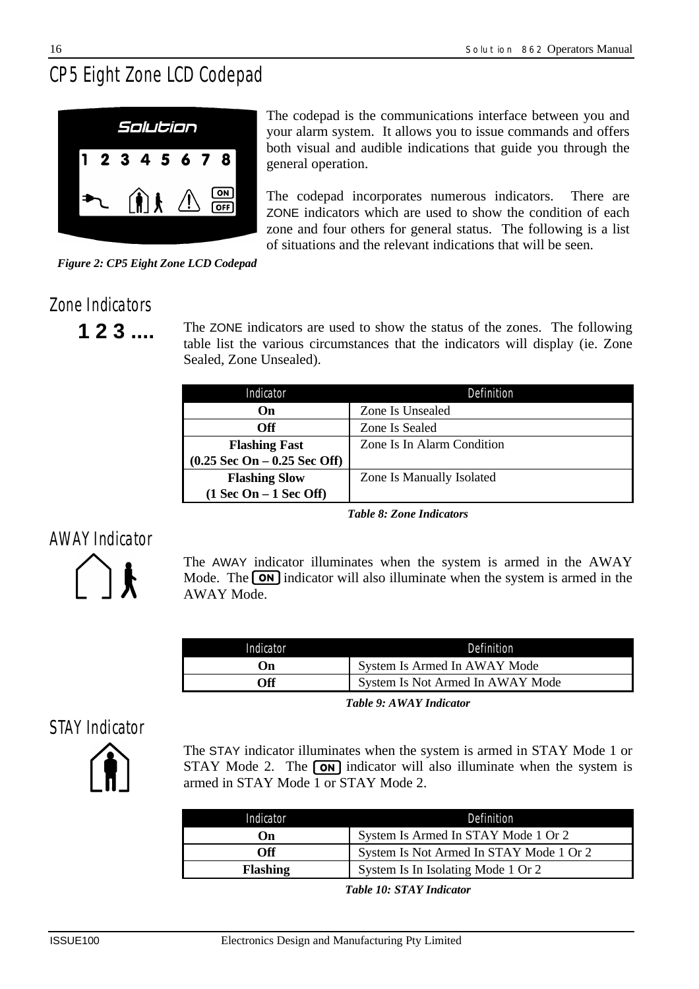# *CP5 Eight Zone LCD Codepad*



The codepad is the communications interface between you and your alarm system. It allows you to issue commands and offers both visual and audible indications that guide you through the general operation.

The codepad incorporates numerous indicators. There are ZONE indicators which are used to show the condition of each zone and four others for general status. The following is a list of situations and the relevant indications that will be seen.

*Figure 2: CP5 Eight Zone LCD Codepad*

# *Zone Indicators*

**1 2 3** .... The ZONE indicators are used to show the status of the zones. The following table list the various circumstances that the indicators will display (ie. Zone Sealed, Zone Unsealed).

| Indicator                                      | Definition                 |  |  |  |  |
|------------------------------------------------|----------------------------|--|--|--|--|
| On                                             | Zone Is Unsealed           |  |  |  |  |
| Off                                            | Zone Is Sealed             |  |  |  |  |
| <b>Flashing Fast</b>                           | Zone Is In Alarm Condition |  |  |  |  |
| $(0.25 \text{ Sec On} - 0.25 \text{ Sec Off})$ |                            |  |  |  |  |
| <b>Flashing Slow</b>                           | Zone Is Manually Isolated  |  |  |  |  |
| $(1$ Sec On – 1 Sec Off)                       |                            |  |  |  |  |

*Table 8: Zone Indicators*

# *AWAY Indicator*



The AWAY indicator illuminates when the system is armed in the AWAY Mode. The  $\overline{on}$  indicator will also illuminate when the system is armed in the AWAY Mode.

| Indicator | Definition                       |
|-----------|----------------------------------|
| ()n       | System Is Armed In AWAY Mode     |
| Off       | System Is Not Armed In AWAY Mode |

*Table 9: AWAY Indicator*

# *STAY Indicator*



The STAY indicator illuminates when the system is armed in STAY Mode 1 or STAY Mode 2. The  $\overline{on}$  indicator will also illuminate when the system is armed in STAY Mode 1 or STAY Mode 2.

| Indicator       | Definition                              |
|-----------------|-----------------------------------------|
| $\mathbf{On}$   | System Is Armed In STAY Mode 1 Or 2     |
| <b>Off</b>      | System Is Not Armed In STAY Mode 1 Or 2 |
| <b>Flashing</b> | System Is In Isolating Mode 1 Or 2      |

*Table 10: STAY Indicator*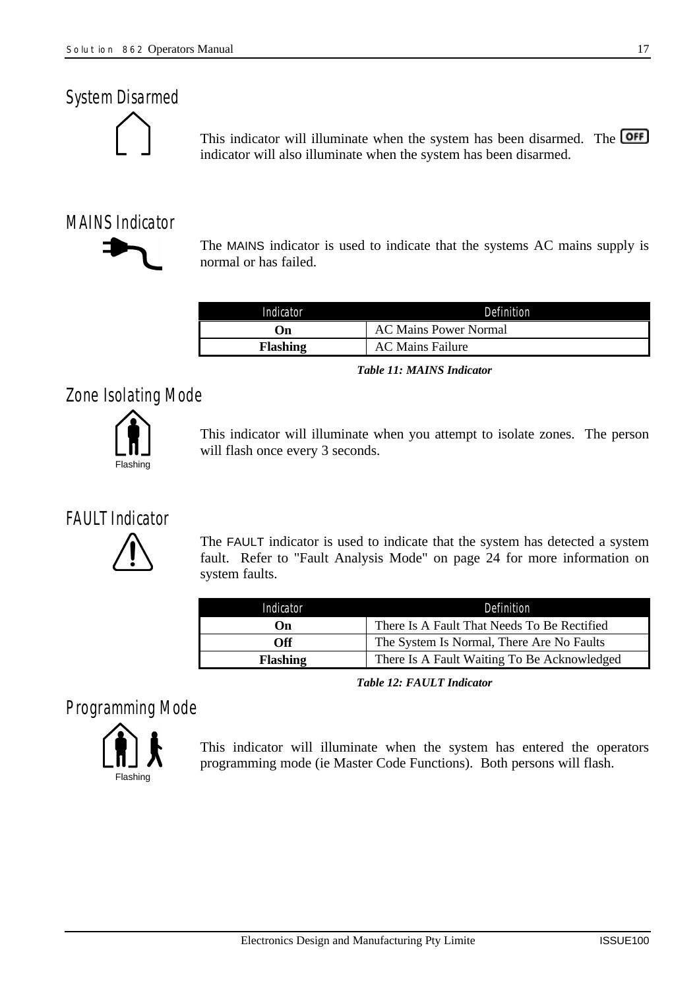#### *System Disarmed*



This indicator will illuminate when the system has been disarmed. The **OFF** indicator will also illuminate when the system has been disarmed.

# *MAINS Indicator*



The MAINS indicator is used to indicate that the systems AC mains supply is normal or has failed.

| Indicator       | Definition                   |
|-----------------|------------------------------|
| .)n             | <b>AC Mains Power Normal</b> |
| <b>Flashing</b> | <b>AC Mains Failure</b>      |

*Table 11: MAINS Indicator*

# *Zone Isolating Mode*



This indicator will illuminate when you attempt to isolate zones. The person will flash once every 3 seconds.

# *FAULT Indicator*



The FAULT indicator is used to indicate that the system has detected a system fault. Refer to "Fault Analysis Mode" on page 24 for more information on system faults.

| Indicator       | Definition                                  |  |  |  |  |
|-----------------|---------------------------------------------|--|--|--|--|
| On              | There Is A Fault That Needs To Be Rectified |  |  |  |  |
| <b>Off</b>      | The System Is Normal, There Are No Faults   |  |  |  |  |
| <b>Flashing</b> | There Is A Fault Waiting To Be Acknowledged |  |  |  |  |

*Table 12: FAULT Indicator*

*Programming Mode*



This indicator will illuminate when the system has entered the operators programming mode (ie Master Code Functions). Both persons will flash.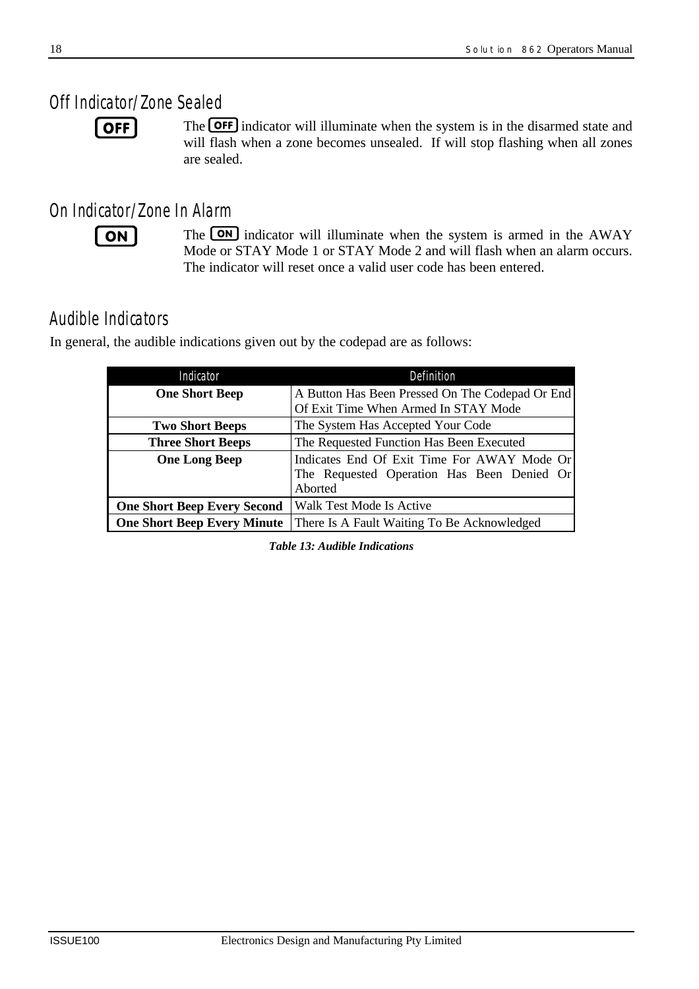# *Off Indicator/Zone Sealed*

 $\sqrt{OPT}$ 

The **OFF** indicator will illuminate when the system is in the disarmed state and will flash when a zone becomes unsealed. If will stop flashing when all zones are sealed.

# *On Indicator/Zone In Alarm*

 $ON$ 

The **ON** indicator will illuminate when the system is armed in the AWAY Mode or STAY Mode 1 or STAY Mode 2 and will flash when an alarm occurs. The indicator will reset once a valid user code has been entered.

# *Audible Indicators*

In general, the audible indications given out by the codepad are as follows:

| Indicator                          | Definition                                                                                           |  |  |  |  |  |  |
|------------------------------------|------------------------------------------------------------------------------------------------------|--|--|--|--|--|--|
| <b>One Short Beep</b>              | A Button Has Been Pressed On The Codepad Or End<br>Of Exit Time When Armed In STAY Mode              |  |  |  |  |  |  |
| <b>Two Short Beeps</b>             | The System Has Accepted Your Code                                                                    |  |  |  |  |  |  |
| <b>Three Short Beeps</b>           | The Requested Function Has Been Executed                                                             |  |  |  |  |  |  |
| <b>One Long Beep</b>               | Indicates End Of Exit Time For AWAY Mode Or<br>The Requested Operation Has Been Denied Or<br>Aborted |  |  |  |  |  |  |
| <b>One Short Beep Every Second</b> | Walk Test Mode Is Active                                                                             |  |  |  |  |  |  |
| <b>One Short Beep Every Minute</b> | There Is A Fault Waiting To Be Acknowledged                                                          |  |  |  |  |  |  |

*Table 13: Audible Indications*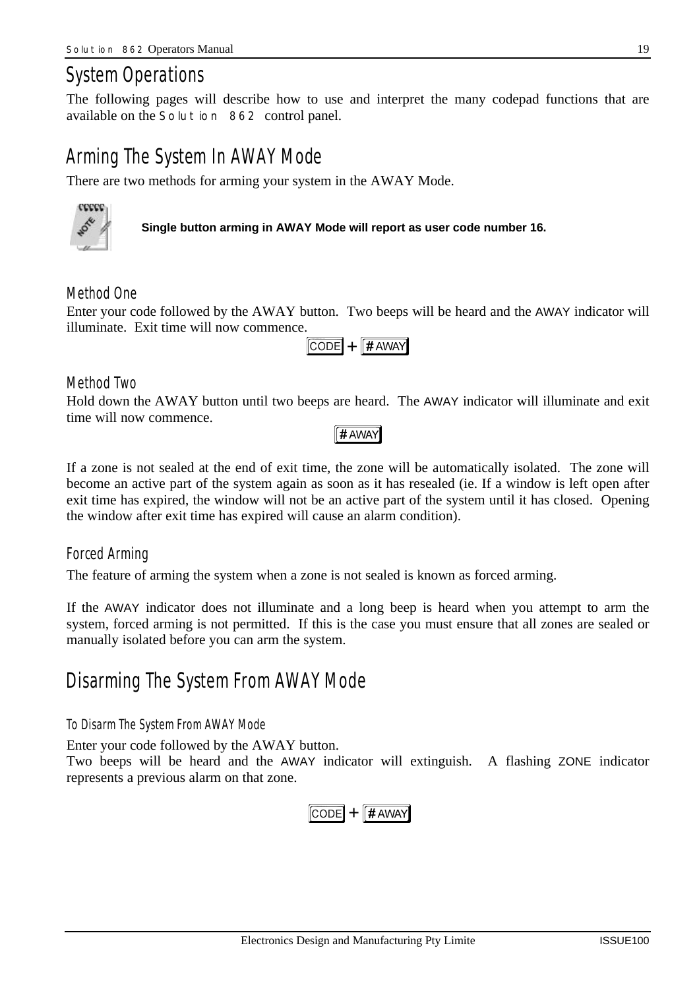# *System Operations*

The following pages will describe how to use and interpret the many codepad functions that are available on the *Solution 862* control panel.

# *Arming The System In AWAY Mode*

There are two methods for arming your system in the AWAY Mode.



**Single button arming in AWAY Mode will report as user code number 16.**

#### *Method One*

Enter your code followed by the AWAY button. Two beeps will be heard and the AWAY indicator will illuminate. Exit time will now commence.



#### *Method Two*

Hold down the AWAY button until two beeps are heard. The AWAY indicator will illuminate and exit time will now commence.

#### $f#$  AWAY

If a zone is not sealed at the end of exit time, the zone will be automatically isolated. The zone will become an active part of the system again as soon as it has resealed (ie. If a window is left open after exit time has expired, the window will not be an active part of the system until it has closed. Opening the window after exit time has expired will cause an alarm condition).

#### *Forced Arming*

The feature of arming the system when a zone is not sealed is known as forced arming.

If the AWAY indicator does not illuminate and a long beep is heard when you attempt to arm the system, forced arming is not permitted. If this is the case you must ensure that all zones are sealed or manually isolated before you can arm the system.

# *Disarming The System From AWAY Mode*

#### *To Disarm The System From AWAY Mode*

Enter your code followed by the AWAY button.

Two beeps will be heard and the AWAY indicator will extinguish. A flashing ZONE indicator represents a previous alarm on that zone.

$$
\boxed{\text{CODE}} + \boxed{\text{# AWAY}}
$$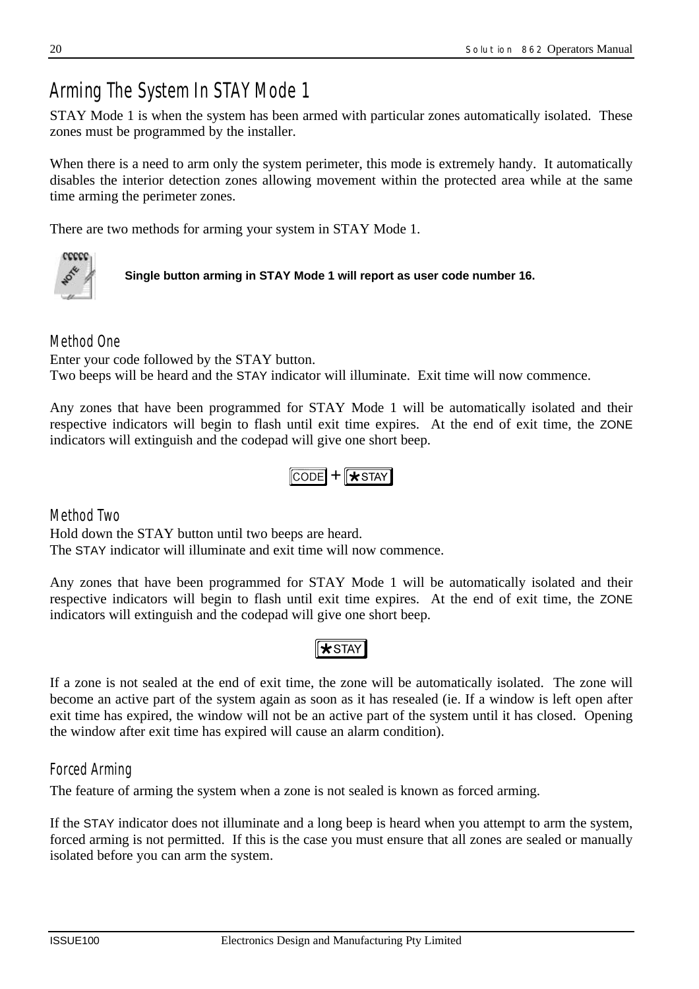# *Arming The System In STAY Mode 1*

STAY Mode 1 is when the system has been armed with particular zones automatically isolated. These zones must be programmed by the installer.

When there is a need to arm only the system perimeter, this mode is extremely handy. It automatically disables the interior detection zones allowing movement within the protected area while at the same time arming the perimeter zones.

There are two methods for arming your system in STAY Mode 1.



**Single button arming in STAY Mode 1 will report as user code number 16.**

#### *Method One*

Enter your code followed by the STAY button.

Two beeps will be heard and the STAY indicator will illuminate. Exit time will now commence.

Any zones that have been programmed for STAY Mode 1 will be automatically isolated and their respective indicators will begin to flash until exit time expires. At the end of exit time, the ZONE indicators will extinguish and the codepad will give one short beep.

```
CODE + \sqrt{x} STAY
```
*Method Two* Hold down the STAY button until two beeps are heard. The STAY indicator will illuminate and exit time will now commence.

Any zones that have been programmed for STAY Mode 1 will be automatically isolated and their respective indicators will begin to flash until exit time expires. At the end of exit time, the ZONE indicators will extinguish and the codepad will give one short beep.

### $\sqrt{\text{STr}}$

If a zone is not sealed at the end of exit time, the zone will be automatically isolated. The zone will become an active part of the system again as soon as it has resealed (ie. If a window is left open after exit time has expired, the window will not be an active part of the system until it has closed. Opening the window after exit time has expired will cause an alarm condition).

#### *Forced Arming*

The feature of arming the system when a zone is not sealed is known as forced arming.

If the STAY indicator does not illuminate and a long beep is heard when you attempt to arm the system, forced arming is not permitted. If this is the case you must ensure that all zones are sealed or manually isolated before you can arm the system.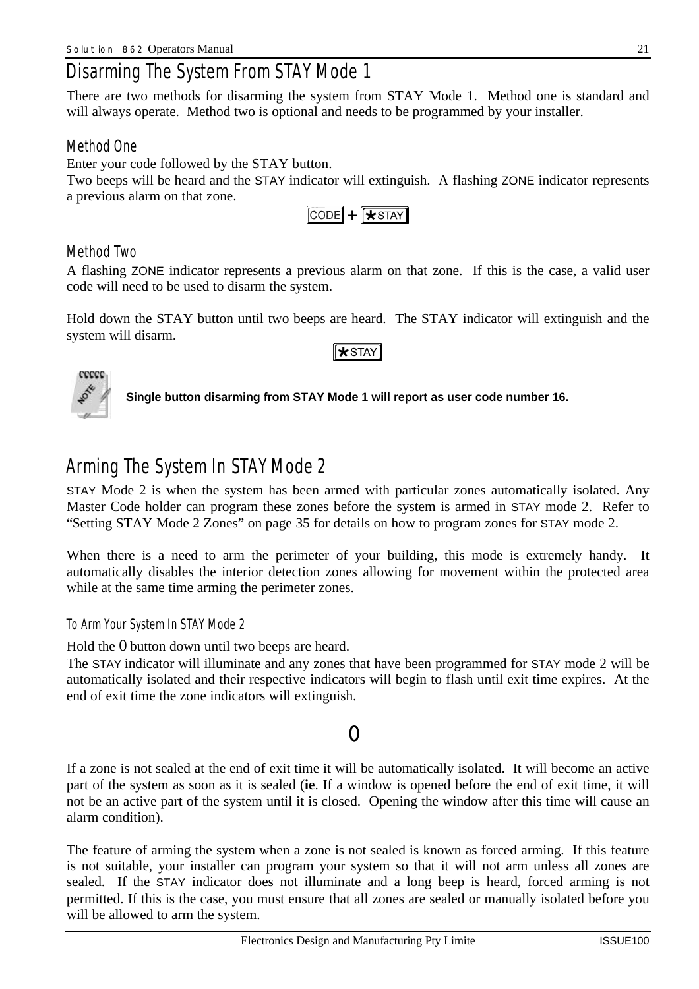# *Disarming The System From STAY Mode 1*

There are two methods for disarming the system from STAY Mode 1. Method one is standard and will always operate. Method two is optional and needs to be programmed by your installer.

#### *Method One*

Enter your code followed by the STAY button.

Two beeps will be heard and the STAY indicator will extinguish. A flashing ZONE indicator represents a previous alarm on that zone.

 $CODE$  +  $\sqrt{x}$  STAY

#### *Method Two*

A flashing ZONE indicator represents a previous alarm on that zone. If this is the case, a valid user code will need to be used to disarm the system.

Hold down the STAY button until two beeps are heard. The STAY indicator will extinguish and the system will disarm.

#### $\star$ STAY



**Single button disarming from STAY Mode 1 will report as user code number 16.**

# *Arming The System In STAYMode 2*

STAY Mode 2 is when the system has been armed with particular zones automatically isolated. Any Master Code holder can program these zones before the system is armed in STAY mode 2. Refer to "Setting STAY Mode 2 Zones" on page 35 for details on how to program zones for STAY mode 2.

When there is a need to arm the perimeter of your building, this mode is extremely handy. It automatically disables the interior detection zones allowing for movement within the protected area while at the same time arming the perimeter zones.

#### *To Arm Your System In STAY Mode 2*

Hold the 0 button down until two beeps are heard.

The STAY indicator will illuminate and any zones that have been programmed for STAY mode 2 will be automatically isolated and their respective indicators will begin to flash until exit time expires. At the end of exit time the zone indicators will extinguish.

### 0

If a zone is not sealed at the end of exit time it will be automatically isolated. It will become an active part of the system as soon as it is sealed (**ie**. If a window is opened before the end of exit time, it will not be an active part of the system until it is closed. Opening the window after this time will cause an alarm condition).

The feature of arming the system when a zone is not sealed is known as forced arming. If this feature is not suitable, your installer can program your system so that it will not arm unless all zones are sealed. If the STAY indicator does not illuminate and a long beep is heard, forced arming is not permitted. If this is the case, you must ensure that all zones are sealed or manually isolated before you will be allowed to arm the system.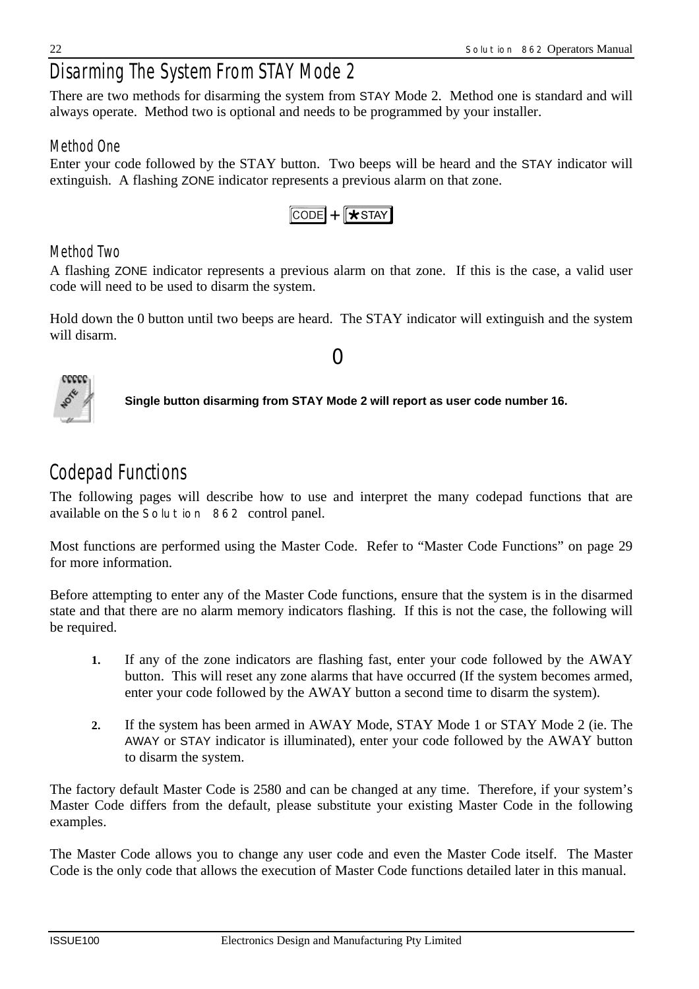# *Disarming The System From STAY Mode 2*

There are two methods for disarming the system from STAY Mode 2. Method one is standard and will always operate. Method two is optional and needs to be programmed by your installer.

### *Method One*

Enter your code followed by the STAY button. Two beeps will be heard and the STAY indicator will extinguish. A flashing ZONE indicator represents a previous alarm on that zone.



### *Method Two*

A flashing ZONE indicator represents a previous alarm on that zone. If this is the case, a valid user code will need to be used to disarm the system.

Hold down the 0 button until two beeps are heard. The STAY indicator will extinguish and the system will disarm.

0



**Single button disarming from STAY Mode 2 will report as user code number 16.**

# *Codepad Functions*

The following pages will describe how to use and interpret the many codepad functions that are available on the *Solution 862* control panel.

Most functions are performed using the Master Code. Refer to "Master Code Functions" on page 29 for more information.

Before attempting to enter any of the Master Code functions, ensure that the system is in the disarmed state and that there are no alarm memory indicators flashing. If this is not the case, the following will be required.

- **1.** If any of the zone indicators are flashing fast, enter your code followed by the AWAY button. This will reset any zone alarms that have occurred (If the system becomes armed, enter your code followed by the AWAY button a second time to disarm the system).
- **2.** If the system has been armed in AWAY Mode, STAY Mode 1 or STAY Mode 2 (ie. The AWAY or STAY indicator is illuminated), enter your code followed by the AWAY button to disarm the system.

The factory default Master Code is 2580 and can be changed at any time. Therefore, if your system's Master Code differs from the default, please substitute your existing Master Code in the following examples.

The Master Code allows you to change any user code and even the Master Code itself. The Master Code is the only code that allows the execution of Master Code functions detailed later in this manual.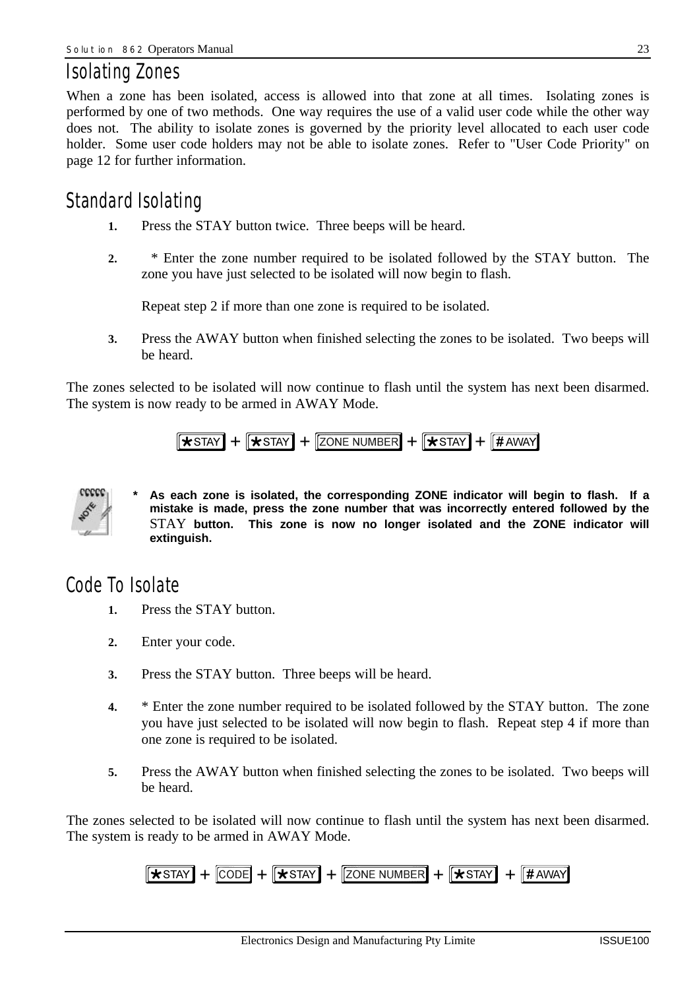# *Isolating Zones*

When a zone has been isolated, access is allowed into that zone at all times. Isolating zones is performed by one of two methods. One way requires the use of a valid user code while the other way does not. The ability to isolate zones is governed by the priority level allocated to each user code holder. Some user code holders may not be able to isolate zones. Refer to "User Code Priority" on page 12 for further information.

# *Standard Isolating*

- **1.** Press the STAY button twice. Three beeps will be heard.
- **2.** \* Enter the zone number required to be isolated followed by the STAY button. The zone you have just selected to be isolated will now begin to flash.

Repeat step 2 if more than one zone is required to be isolated.

**3.** Press the AWAY button when finished selecting the zones to be isolated. Two beeps will be heard.

The zones selected to be isolated will now continue to flash until the system has next been disarmed. The system is now ready to be armed in AWAY Mode.

$$
\boxed{ \bigstar \text{STAT} } + \boxed{ \bigstar \text{STAT} } + \boxed{\text{ZONE NUMBER} } + \boxed{ \bigstar \text{STAT} } + \boxed{ \# \text{AWAY} }
$$



As each zone is isolated, the corresponding ZONE indicator will begin to flash. If a **mistake is made, press the zone number that was incorrectly entered followed by the** STAY **button. This zone is now no longer isolated and the ZONE indicator will extinguish.**

# *Code To Isolate*

- **1.** Press the STAY button.
- **2.** Enter your code.
- **3.** Press the STAY button. Three beeps will be heard.
- **4.** \* Enter the zone number required to be isolated followed by the STAY button. The zone you have just selected to be isolated will now begin to flash. Repeat step 4 if more than one zone is required to be isolated.
- **5.** Press the AWAY button when finished selecting the zones to be isolated. Two beeps will be heard.

The zones selected to be isolated will now continue to flash until the system has next been disarmed. The system is ready to be armed in AWAY Mode.

$$
\boxed{\text{*star}} + \boxed{\text{CODE}} + \boxed{\text{*star}} + \boxed{\text{Zone number}} + \boxed{\text{*star}} + \boxed{\text{# away}}
$$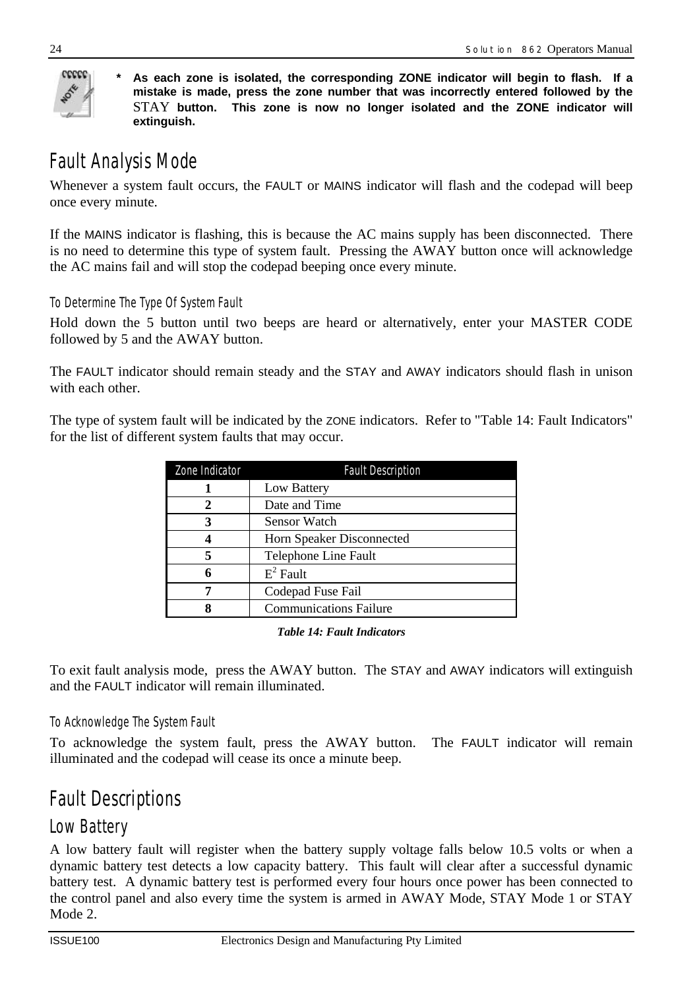

**\* As each zone is isolated, the corresponding ZONE indicator will begin to flash. If a mistake is made, press the zone number that was incorrectly entered followed by the** STAY **button. This zone is now no longer isolated and the ZONE indicator will extinguish.**

# *Fault Analysis Mode*

Whenever a system fault occurs, the FAULT or MAINS indicator will flash and the codepad will beep once every minute.

If the MAINS indicator is flashing, this is because the AC mains supply has been disconnected. There is no need to determine this type of system fault. Pressing the AWAY button once will acknowledge the AC mains fail and will stop the codepad beeping once every minute.

#### *To Determine The Type Of System Fault*

Hold down the 5 button until two beeps are heard or alternatively, enter your MASTER CODE followed by 5 and the AWAY button.

The FAULT indicator should remain steady and the STAY and AWAY indicators should flash in unison with each other.

The type of system fault will be indicated by the ZONE indicators. Refer to "Table 14: Fault Indicators" for the list of different system faults that may occur.

| Zone Indicator | <b>Fault Description</b>      |
|----------------|-------------------------------|
|                | Low Battery                   |
| $\mathcal{D}$  | Date and Time                 |
| 3              | Sensor Watch                  |
|                | Horn Speaker Disconnected     |
| 5              | Telephone Line Fault          |
|                | $E^2$ Fault                   |
|                | Codepad Fuse Fail             |
|                | <b>Communications Failure</b> |

#### *Table 14: Fault Indicators*

To exit fault analysis mode, press the AWAY button. The STAY and AWAY indicators will extinguish and the FAULT indicator will remain illuminated.

#### *To Acknowledge The System Fault*

To acknowledge the system fault, press the AWAY button. The FAULT indicator will remain illuminated and the codepad will cease its once a minute beep.

# *Fault Descriptions*

### *Low Battery*

A low battery fault will register when the battery supply voltage falls below 10.5 volts or when a dynamic battery test detects a low capacity battery. This fault will clear after a successful dynamic battery test. A dynamic battery test is performed every four hours once power has been connected to the control panel and also every time the system is armed in AWAY Mode, STAY Mode 1 or STAY Mode 2.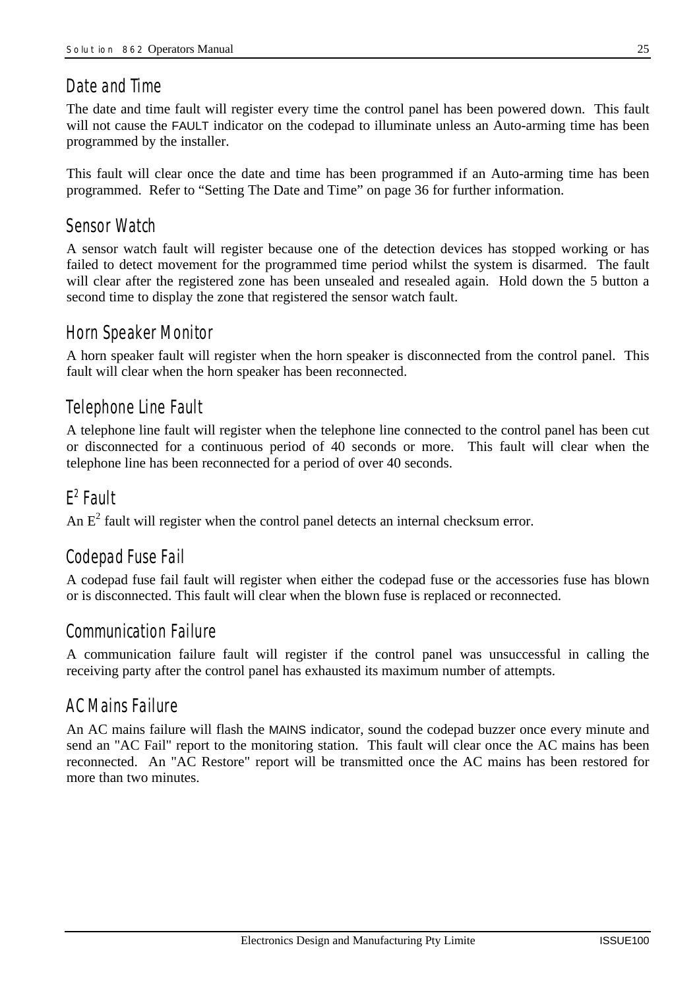### *Date and Time*

The date and time fault will register every time the control panel has been powered down. This fault will not cause the FAULT indicator on the codepad to illuminate unless an Auto-arming time has been programmed by the installer.

This fault will clear once the date and time has been programmed if an Auto-arming time has been programmed. Refer to "Setting The Date and Time" on page 36 for further information.

### *Sensor Watch*

A sensor watch fault will register because one of the detection devices has stopped working or has failed to detect movement for the programmed time period whilst the system is disarmed. The fault will clear after the registered zone has been unsealed and resealed again. Hold down the 5 button a second time to display the zone that registered the sensor watch fault.

### *Horn Speaker Monitor*

A horn speaker fault will register when the horn speaker is disconnected from the control panel. This fault will clear when the horn speaker has been reconnected.

# *Telephone Line Fault*

A telephone line fault will register when the telephone line connected to the control panel has been cut or disconnected for a continuous period of 40 seconds or more. This fault will clear when the telephone line has been reconnected for a period of over 40 seconds.

# *E 2 Fault*

An  $E<sup>2</sup>$  fault will register when the control panel detects an internal checksum error.

# *Codepad Fuse Fail*

A codepad fuse fail fault will register when either the codepad fuse or the accessories fuse has blown or is disconnected. This fault will clear when the blown fuse is replaced or reconnected.

### *Communication Failure*

A communication failure fault will register if the control panel was unsuccessful in calling the receiving party after the control panel has exhausted its maximum number of attempts.

### *AC Mains Failure*

An AC mains failure will flash the MAINS indicator, sound the codepad buzzer once every minute and send an "AC Fail" report to the monitoring station. This fault will clear once the AC mains has been reconnected. An "AC Restore" report will be transmitted once the AC mains has been restored for more than two minutes.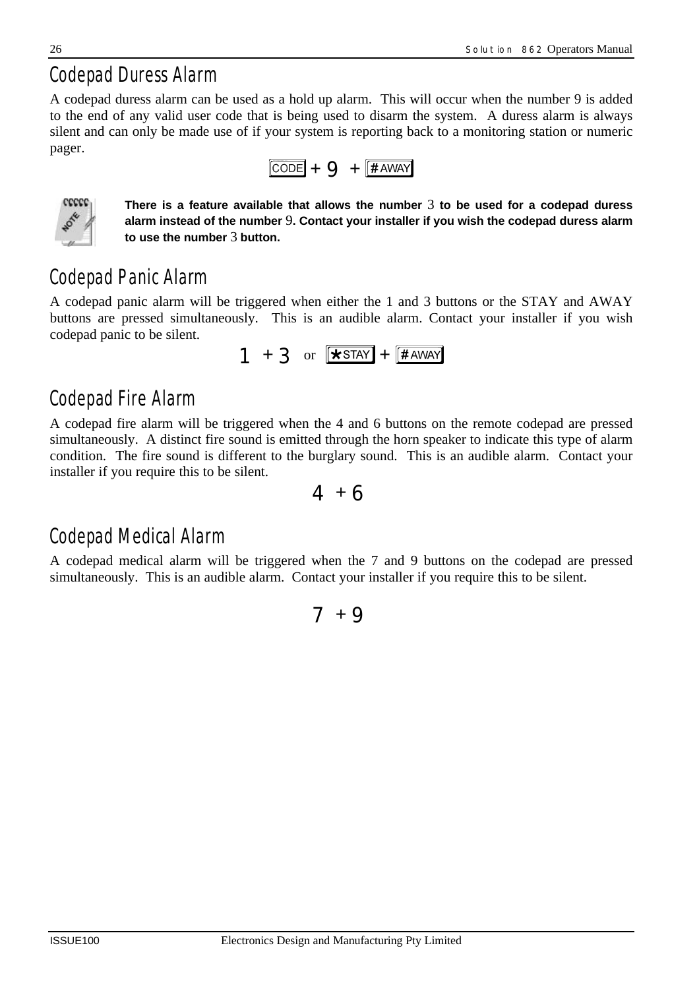# *Codepad Duress Alarm*

A codepad duress alarm can be used as a hold up alarm. This will occur when the number 9 is added to the end of any valid user code that is being used to disarm the system. A duress alarm is always silent and can only be made use of if your system is reporting back to a monitoring station or numeric pager.





**There is a feature available that allows the number** 3 **to be used for a codepad duress alarm instead of the number** 9**. Contact your installer if you wish the codepad duress alarm to use the number** 3 **button.**

# *Codepad Panic Alarm*

A codepad panic alarm will be triggered when either the 1 and 3 buttons or the STAY and AWAY buttons are pressed simultaneously. This is an audible alarm. Contact your installer if you wish codepad panic to be silent.

$$
1 + 3 \text{ or } \boxed{\text{*star}} + \boxed{\text{#AWAY}}
$$

# *Codepad Fire Alarm*

A codepad fire alarm will be triggered when the 4 and 6 buttons on the remote codepad are pressed simultaneously. A distinct fire sound is emitted through the horn speaker to indicate this type of alarm condition. The fire sound is different to the burglary sound. This is an audible alarm. Contact your installer if you require this to be silent.



# *Codepad Medical Alarm*

A codepad medical alarm will be triggered when the 7 and 9 buttons on the codepad are pressed simultaneously. This is an audible alarm. Contact your installer if you require this to be silent.

# $7 + 9$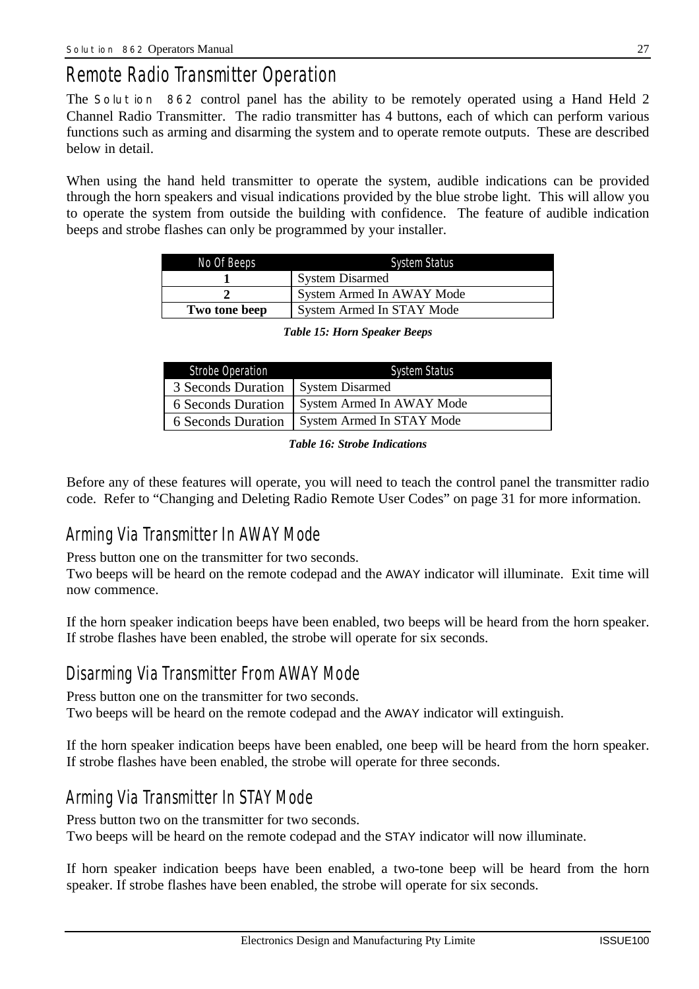# *Remote Radio Transmitter Operation*

The *Solution 862* control panel has the ability to be remotely operated using a Hand Held 2 Channel Radio Transmitter. The radio transmitter has 4 buttons, each of which can perform various functions such as arming and disarming the system and to operate remote outputs. These are described below in detail.

When using the hand held transmitter to operate the system, audible indications can be provided through the horn speakers and visual indications provided by the blue strobe light. This will allow you to operate the system from outside the building with confidence. The feature of audible indication beeps and strobe flashes can only be programmed by your installer.

| No Of Beeps   | <b>System Status</b>      |
|---------------|---------------------------|
|               | <b>System Disarmed</b>    |
|               | System Armed In AWAY Mode |
| Two tone beep | System Armed In STAY Mode |

| Strobe Operation          | <b>System Status</b>      |
|---------------------------|---------------------------|
| 3 Seconds Duration        | System Disarmed           |
| 6 Seconds Duration        | System Armed In AWAY Mode |
| <b>6 Seconds Duration</b> | System Armed In STAY Mode |

*Table 15: Horn Speaker Beeps*

#### *Table 16: Strobe Indications*

Before any of these features will operate, you will need to teach the control panel the transmitter radio code. Refer to "Changing and Deleting Radio Remote User Codes" on page 31 for more information.

### *Arming Via Transmitter In AWAY Mode*

Press button one on the transmitter for two seconds.

Two beeps will be heard on the remote codepad and the AWAY indicator will illuminate. Exit time will now commence.

If the horn speaker indication beeps have been enabled, two beeps will be heard from the horn speaker. If strobe flashes have been enabled, the strobe will operate for six seconds.

### *Disarming Via Transmitter From AWAY Mode*

Press button one on the transmitter for two seconds. Two beeps will be heard on the remote codepad and the AWAY indicator will extinguish.

If the horn speaker indication beeps have been enabled, one beep will be heard from the horn speaker. If strobe flashes have been enabled, the strobe will operate for three seconds.

## *Arming Via Transmitter In STAY Mode*

Press button two on the transmitter for two seconds. Two beeps will be heard on the remote codepad and the STAY indicator will now illuminate.

If horn speaker indication beeps have been enabled, a two-tone beep will be heard from the horn speaker. If strobe flashes have been enabled, the strobe will operate for six seconds.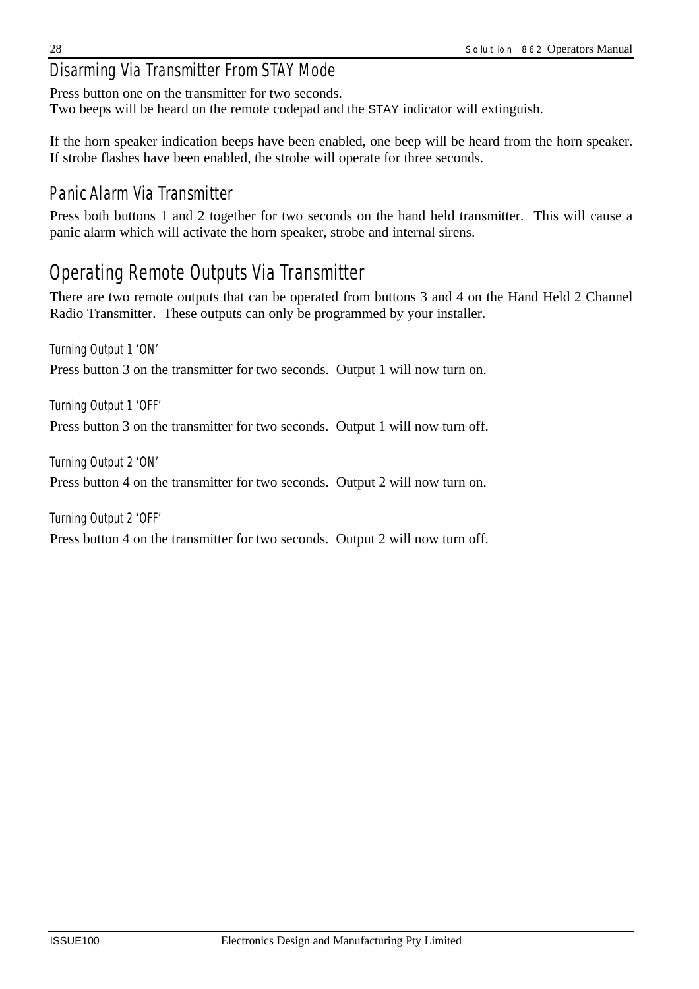# *Disarming Via Transmitter From STAY Mode*

Press button one on the transmitter for two seconds. Two beeps will be heard on the remote codepad and the STAY indicator will extinguish.

If the horn speaker indication beeps have been enabled, one beep will be heard from the horn speaker. If strobe flashes have been enabled, the strobe will operate for three seconds.

# *Panic Alarm Via Transmitter*

Press both buttons 1 and 2 together for two seconds on the hand held transmitter. This will cause a panic alarm which will activate the horn speaker, strobe and internal sirens.

# *Operating Remote Outputs Via Transmitter*

There are two remote outputs that can be operated from buttons 3 and 4 on the Hand Held 2 Channel Radio Transmitter. These outputs can only be programmed by your installer.

#### *Turning Output 1 'ON'*

Press button 3 on the transmitter for two seconds. Output 1 will now turn on.

*Turning Output 1 'OFF'*

Press button 3 on the transmitter for two seconds. Output 1 will now turn off.

*Turning Output 2 'ON'*

Press button 4 on the transmitter for two seconds. Output 2 will now turn on.

*Turning Output 2 'OFF'* Press button 4 on the transmitter for two seconds. Output 2 will now turn off.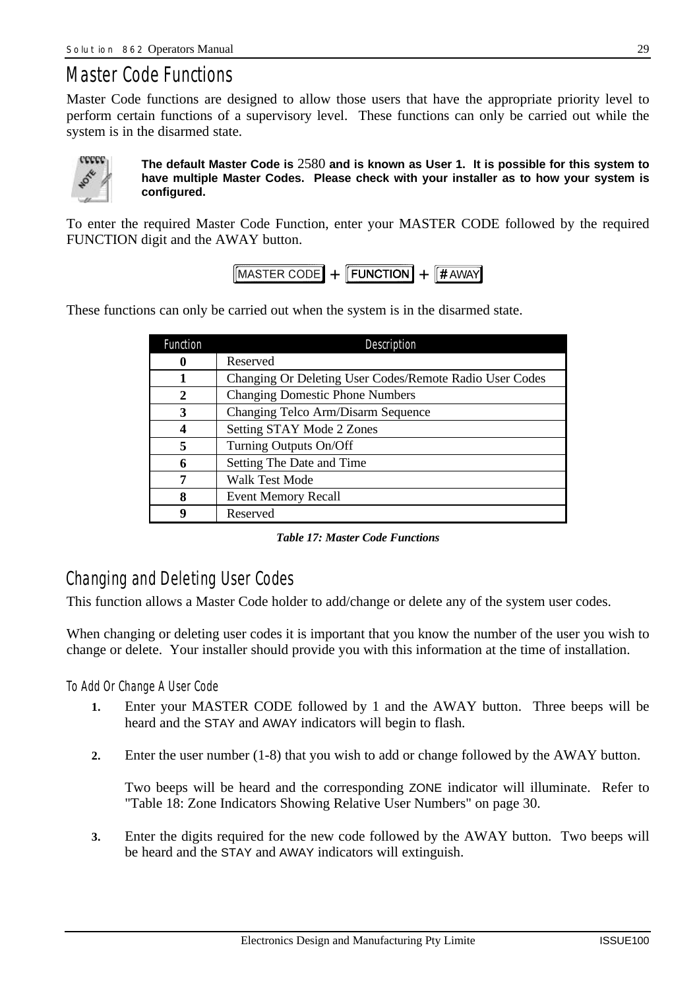# *Master Code Functions*

Master Code functions are designed to allow those users that have the appropriate priority level to perform certain functions of a supervisory level. These functions can only be carried out while the system is in the disarmed state.



**The default Master Code is** 2580 **and is known as User 1. It is possible for this system to have multiple Master Codes. Please check with your installer as to how your system is configured.**

To enter the required Master Code Function, enter your MASTER CODE followed by the required FUNCTION digit and the AWAY button.

 $\sqrt{MASTER CODE} + \sqrt{FUNCTION} + \sqrt{HAWAY}$ 

These functions can only be carried out when the system is in the disarmed state.

| <b>Function</b> | Description                                             |
|-----------------|---------------------------------------------------------|
| 0               | Reserved                                                |
| 1               | Changing Or Deleting User Codes/Remote Radio User Codes |
| $\mathbf{2}$    | <b>Changing Domestic Phone Numbers</b>                  |
| 3               | Changing Telco Arm/Disarm Sequence                      |
| 4               | Setting STAY Mode 2 Zones                               |
| 5               | Turning Outputs On/Off                                  |
| 6               | Setting The Date and Time                               |
| 7               | Walk Test Mode                                          |
| 8               | <b>Event Memory Recall</b>                              |
| 9               | Reserved                                                |

*Table 17: Master Code Functions*

### *Changing and Deleting User Codes*

This function allows a Master Code holder to add/change or delete any of the system user codes.

When changing or deleting user codes it is important that you know the number of the user you wish to change or delete. Your installer should provide you with this information at the time of installation.

#### *To Add Or Change A User Code*

- **1.** Enter your MASTER CODE followed by 1 and the AWAY button. Three beeps will be heard and the STAY and AWAY indicators will begin to flash.
- **2.** Enter the user number (1-8) that you wish to add or change followed by the AWAY button.

Two beeps will be heard and the corresponding ZONE indicator will illuminate. Refer to "Table 18: Zone Indicators Showing Relative User Numbers" on page 30.

**3.** Enter the digits required for the new code followed by the AWAY button. Two beeps will be heard and the STAY and AWAY indicators will extinguish.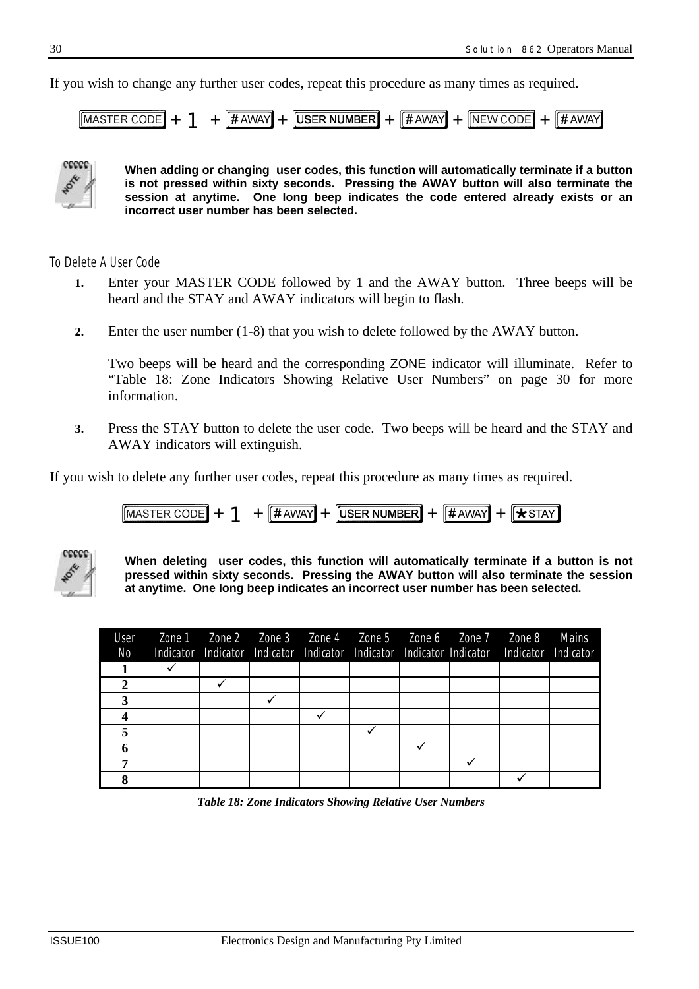If you wish to change any further user codes, repeat this procedure as many times as required.

 $\frac{1}{4}$   $\frac{1}{4}$   $\frac{1}{4}$   $\frac{1}{4}$   $\frac{1}{4}$   $\frac{1}{4}$   $\frac{1}{4}$   $\frac{1}{4}$   $\frac{1}{4}$   $\frac{1}{4}$   $\frac{1}{4}$   $\frac{1}{4}$   $\frac{1}{4}$   $\frac{1}{4}$   $\frac{1}{4}$   $\frac{1}{4}$   $\frac{1}{4}$   $\frac{1}{4}$   $\frac{1}{4}$   $\frac{1}{4}$   $\frac{1}{4}$   $\frac{1}{4}$  MASTER CODE  $|#$  AWAY



**When adding or changing user codes, this function will automatically terminate if a button is not pressed within sixty seconds. Pressing the AWAY button will also terminate the session at anytime. One long beep indicates the code entered already exists or an incorrect user number has been selected.**

#### *To Delete A User Code*

- **1.** Enter your MASTER CODE followed by 1 and the AWAY button. Three beeps will be heard and the STAY and AWAY indicators will begin to flash.
- **2.** Enter the user number (1-8) that you wish to delete followed by the AWAY button.

Two beeps will be heard and the corresponding ZONE indicator will illuminate. Refer to "Table 18: Zone Indicators Showing Relative User Numbers" on page 30 for more information.

**3.** Press the STAY button to delete the user code. Two beeps will be heard and the STAY and AWAY indicators will extinguish.

If you wish to delete any further user codes, repeat this procedure as many times as required.

$$
[{\text{MASTER CODE}}] + 1 + [{\text{HAWAY}}] + [{\text{USER NUMBER}}] + [{\text{HAWAY}}] + [{\text{XSTAY}}]
$$



**When deleting user codes, this function will automatically terminate if a button is not pressed within sixty seconds. Pressing the AWAY button will also terminate the session at anytime. One long beep indicates an incorrect user number has been selected.**

| User<br>No |  |  |  | Zone 1    Zone 2    Zone 3    Zone 4    Zone 5    Zone 6    Zone 7    Zone 8<br>Indicator Indicator Indicator Indicator Indicator Indicator Indicator Indicator Indicator | Mains |
|------------|--|--|--|---------------------------------------------------------------------------------------------------------------------------------------------------------------------------|-------|
|            |  |  |  |                                                                                                                                                                           |       |
| 2          |  |  |  |                                                                                                                                                                           |       |
|            |  |  |  |                                                                                                                                                                           |       |
|            |  |  |  |                                                                                                                                                                           |       |
|            |  |  |  |                                                                                                                                                                           |       |
|            |  |  |  |                                                                                                                                                                           |       |
|            |  |  |  |                                                                                                                                                                           |       |
|            |  |  |  |                                                                                                                                                                           |       |

*Table 18: Zone Indicators Showing Relative User Numbers*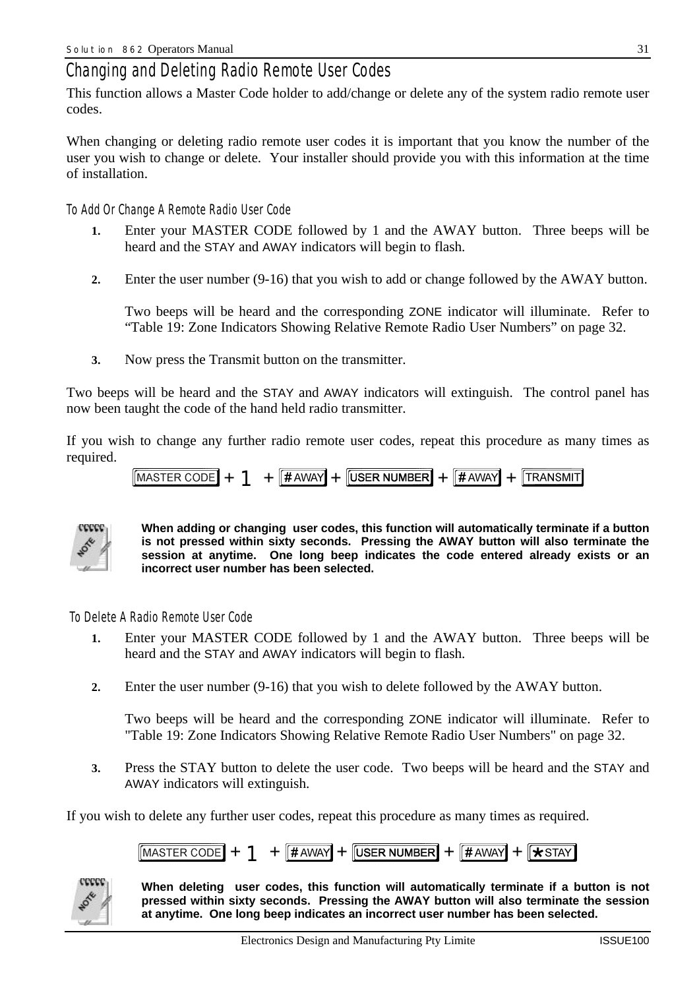### *Changing and Deleting Radio Remote User Codes*

This function allows a Master Code holder to add/change or delete any of the system radio remote user codes.

When changing or deleting radio remote user codes it is important that you know the number of the user you wish to change or delete. Your installer should provide you with this information at the time of installation.

#### *To Add Or Change A Remote Radio User Code*

- **1.** Enter your MASTER CODE followed by 1 and the AWAY button. Three beeps will be heard and the STAY and AWAY indicators will begin to flash.
- **2.** Enter the user number (9-16) that you wish to add or change followed by the AWAY button.

Two beeps will be heard and the corresponding ZONE indicator will illuminate. Refer to "Table 19: Zone Indicators Showing Relative Remote Radio User Numbers" on page 32.

**3.** Now press the Transmit button on the transmitter.

Two beeps will be heard and the STAY and AWAY indicators will extinguish. The control panel has now been taught the code of the hand held radio transmitter.

If you wish to change any further radio remote user codes, repeat this procedure as many times as required.

$$
[{\text{MASTER CODE}}] + \text{1} + [\text{HAWAY}] + [{\text{USER NUMBER}}] + [\text{HAWAY}] + [{\text{TRANSMIT}}]
$$



**When adding or changing user codes, this function will automatically terminate if a button is not pressed within sixty seconds. Pressing the AWAY button will also terminate the session at anytime. One long beep indicates the code entered already exists or an incorrect user number has been selected.**

 *To Delete A Radio Remote User Code*

- **1.** Enter your MASTER CODE followed by 1 and the AWAY button. Three beeps will be heard and the STAY and AWAY indicators will begin to flash.
- **2.** Enter the user number (9-16) that you wish to delete followed by the AWAY button.

Two beeps will be heard and the corresponding ZONE indicator will illuminate. Refer to "Table 19: Zone Indicators Showing Relative Remote Radio User Numbers" on page 32.

**3.** Press the STAY button to delete the user code. Two beeps will be heard and the STAY and AWAY indicators will extinguish.

If you wish to delete any further user codes, repeat this procedure as many times as required.





**When deleting user codes, this function will automatically terminate if a button is not pressed within sixty seconds. Pressing the AWAY button will also terminate the session at anytime. One long beep indicates an incorrect user number has been selected.**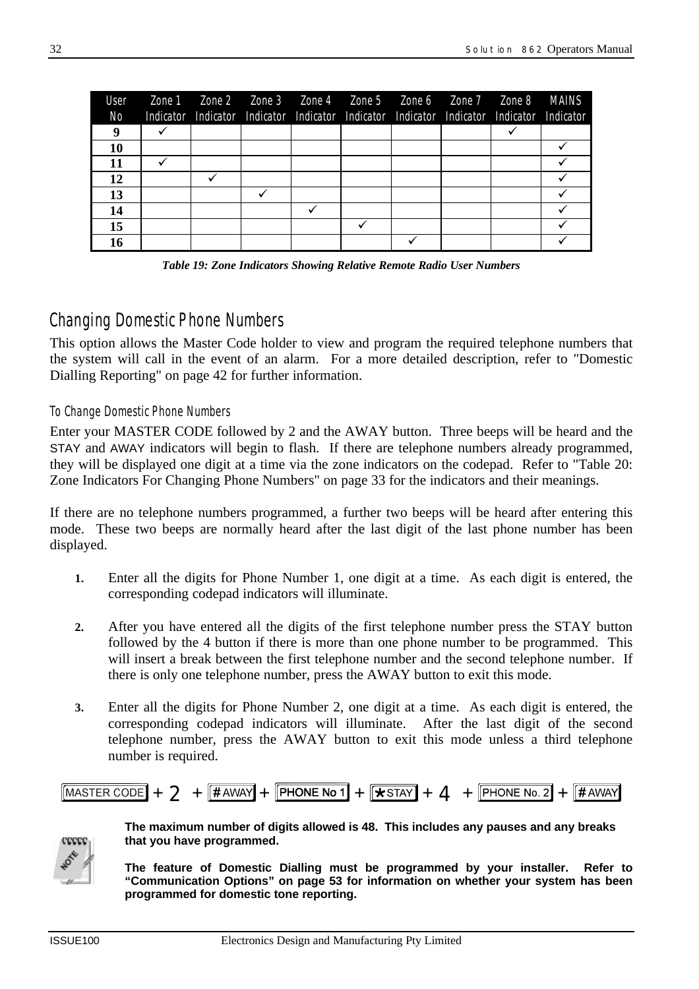| User      |  |  | Zone 1    Zone 2    Zone 3    Zone 4    Zone 5    Zone 6    Zone 7    Zone 8    MAINS     |  |  |
|-----------|--|--|-------------------------------------------------------------------------------------------|--|--|
| No.       |  |  | Indicator Indicator Indicator Indicator Indicator Indicator Indicator Indicator Indicator |  |  |
| 9         |  |  |                                                                                           |  |  |
| 10        |  |  |                                                                                           |  |  |
| 11        |  |  |                                                                                           |  |  |
| <b>12</b> |  |  |                                                                                           |  |  |
| 13        |  |  |                                                                                           |  |  |
| 14        |  |  |                                                                                           |  |  |
| 15        |  |  |                                                                                           |  |  |
| 16        |  |  |                                                                                           |  |  |

*Table 19: Zone Indicators Showing Relative Remote Radio User Numbers*

### *Changing Domestic Phone Numbers*

This option allows the Master Code holder to view and program the required telephone numbers that the system will call in the event of an alarm. For a more detailed description, refer to "Domestic Dialling Reporting" on page 42 for further information.

#### *To Change Domestic Phone Numbers*

Enter your MASTER CODE followed by 2 and the AWAY button. Three beeps will be heard and the STAY and AWAY indicators will begin to flash. If there are telephone numbers already programmed, they will be displayed one digit at a time via the zone indicators on the codepad. Refer to "Table 20: Zone Indicators For Changing Phone Numbers" on page 33 for the indicators and their meanings.

If there are no telephone numbers programmed, a further two beeps will be heard after entering this mode. These two beeps are normally heard after the last digit of the last phone number has been displayed.

- **1.** Enter all the digits for Phone Number 1, one digit at a time. As each digit is entered, the corresponding codepad indicators will illuminate.
- **2.** After you have entered all the digits of the first telephone number press the STAY button followed by the 4 button if there is more than one phone number to be programmed. This will insert a break between the first telephone number and the second telephone number. If there is only one telephone number, press the AWAY button to exit this mode.
- **3.** Enter all the digits for Phone Number 2, one digit at a time. As each digit is entered, the corresponding codepad indicators will illuminate. After the last digit of the second telephone number, press the AWAY button to exit this mode unless a third telephone number is required.





**The maximum number of digits allowed is 48. This includes any pauses and any breaks that you have programmed.**

**The feature of Domestic Dialling must be programmed by your installer. Refer to "Communication Options" on page 53 for information on whether your system has been programmed for domestic tone reporting.**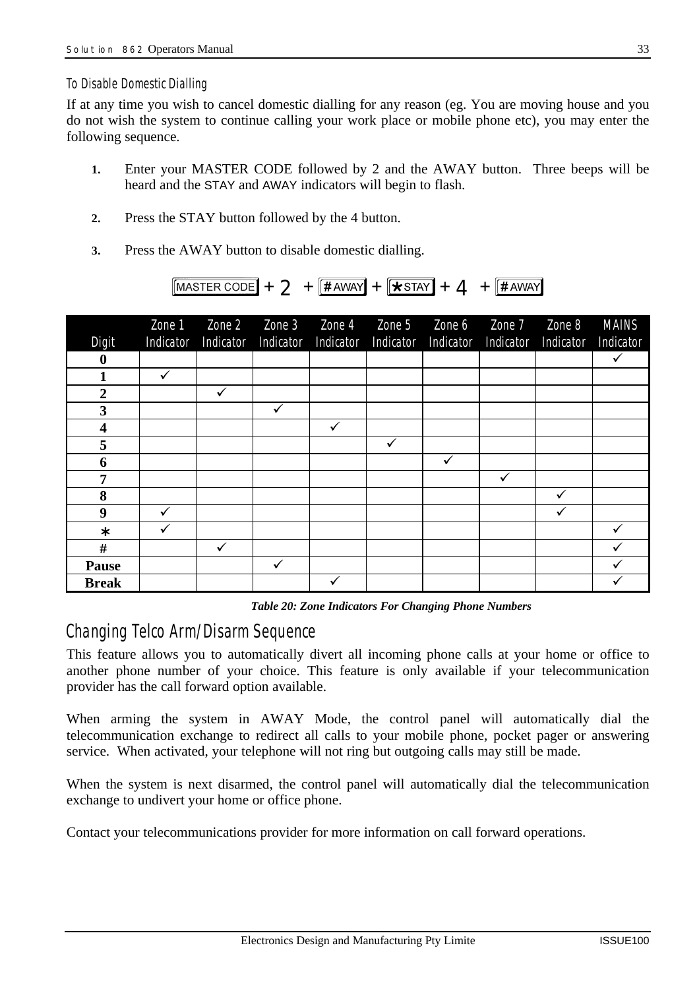#### *To Disable Domestic Dialling*

If at any time you wish to cancel domestic dialling for any reason (eg. You are moving house and you do not wish the system to continue calling your work place or mobile phone etc), you may enter the following sequence.

- **1.** Enter your MASTER CODE followed by 2 and the AWAY button. Three beeps will be heard and the STAY and AWAY indicators will begin to flash.
- **2.** Press the STAY button followed by the 4 button.
- **3.** Press the AWAY button to disable domestic dialling.



| Digit                   | Zone 1<br>Indicator | Zone 2<br>Indicator | Zone 3       | Zone 4<br>Indicator Indicator | Zone 5 | Zone 6<br>Indicator Indicator | Zone 7<br>Indicator | Zone 8<br>Indicator | <b>MAINS</b><br>Indicator |
|-------------------------|---------------------|---------------------|--------------|-------------------------------|--------|-------------------------------|---------------------|---------------------|---------------------------|
| $\boldsymbol{0}$        |                     |                     |              |                               |        |                               |                     |                     | $\checkmark$              |
| 1                       | $\checkmark$        |                     |              |                               |        |                               |                     |                     |                           |
| $\boldsymbol{2}$        |                     | ✓                   |              |                               |        |                               |                     |                     |                           |
| $\mathbf{3}$            |                     |                     | $\checkmark$ |                               |        |                               |                     |                     |                           |
| $\overline{\mathbf{4}}$ |                     |                     |              | $\checkmark$                  |        |                               |                     |                     |                           |
| 5                       |                     |                     |              |                               | ✓      |                               |                     |                     |                           |
| 6                       |                     |                     |              |                               |        | ✔                             |                     |                     |                           |
| 7                       |                     |                     |              |                               |        |                               | ✓                   |                     |                           |
| 8                       |                     |                     |              |                               |        |                               |                     |                     |                           |
| 9                       | ✓                   |                     |              |                               |        |                               |                     |                     |                           |
| $\ast$                  |                     |                     |              |                               |        |                               |                     |                     |                           |
| $\#$                    |                     | ✓                   |              |                               |        |                               |                     |                     |                           |
| <b>Pause</b>            |                     |                     |              |                               |        |                               |                     |                     |                           |
| <b>Break</b>            |                     |                     |              |                               |        |                               |                     |                     |                           |

*Table 20: Zone Indicators For Changing Phone Numbers*

### *Changing Telco Arm/Disarm Sequence*

This feature allows you to automatically divert all incoming phone calls at your home or office to another phone number of your choice. This feature is only available if your telecommunication provider has the call forward option available.

When arming the system in AWAY Mode, the control panel will automatically dial the telecommunication exchange to redirect all calls to your mobile phone, pocket pager or answering service. When activated, your telephone will not ring but outgoing calls may still be made.

When the system is next disarmed, the control panel will automatically dial the telecommunication exchange to undivert your home or office phone.

Contact your telecommunications provider for more information on call forward operations.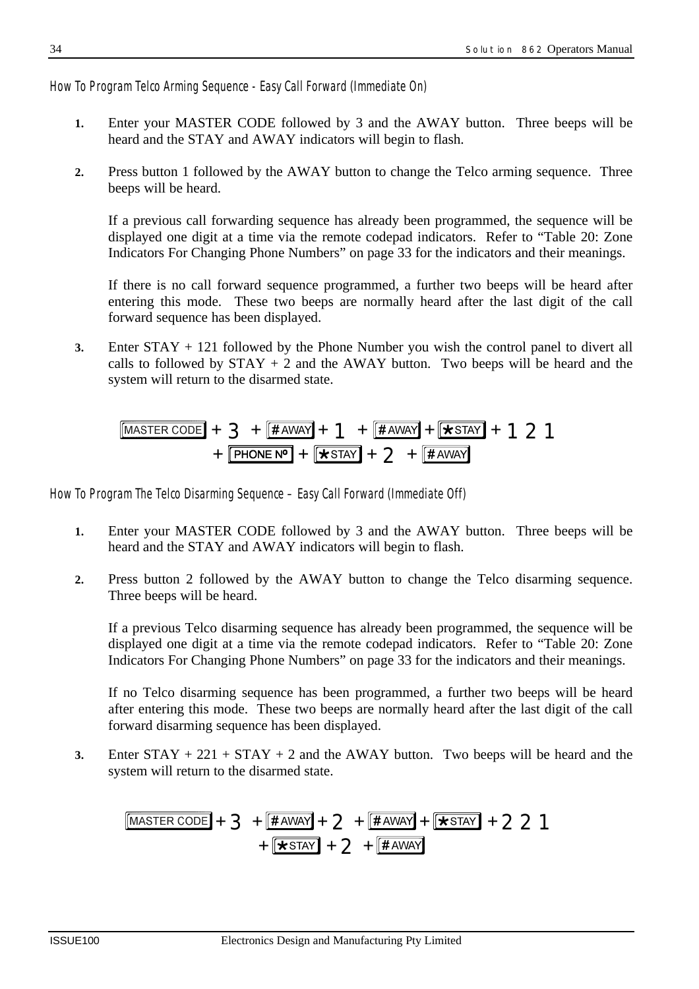*How To Program Telco Arming Sequence - Easy Call Forward (Immediate On)*

- **1.** Enter your MASTER CODE followed by 3 and the AWAY button. Three beeps will be heard and the STAY and AWAY indicators will begin to flash.
- **2.** Press button 1 followed by the AWAY button to change the Telco arming sequence. Three beeps will be heard.

If a previous call forwarding sequence has already been programmed, the sequence will be displayed one digit at a time via the remote codepad indicators. Refer to "Table 20: Zone Indicators For Changing Phone Numbers" on page 33 for the indicators and their meanings.

If there is no call forward sequence programmed, a further two beeps will be heard after entering this mode. These two beeps are normally heard after the last digit of the call forward sequence has been displayed.

**3.** Enter STAY + 121 followed by the Phone Number you wish the control panel to divert all calls to followed by  $STAY + 2$  and the AWAY button. Two beeps will be heard and the system will return to the disarmed state.

$$
\frac{\text{[Master CODE]}}{+ \text{ 3} + \text{[HAWAY]}} + \text{ 1} + \text{[HAWAY] + \text{[HSTAY]}} + \text{ 121}
$$
\n
$$
+ \text{[PHONE N} + \text{[HSTAY] + 2} + \text{[HAWAY]}
$$

*How To Program The Telco Disarming Sequence – Easy Call Forward (Immediate Off)*

- **1.** Enter your MASTER CODE followed by 3 and the AWAY button. Three beeps will be heard and the STAY and AWAY indicators will begin to flash.
- **2.** Press button 2 followed by the AWAY button to change the Telco disarming sequence. Three beeps will be heard.

If a previous Telco disarming sequence has already been programmed, the sequence will be displayed one digit at a time via the remote codepad indicators. Refer to "Table 20: Zone Indicators For Changing Phone Numbers" on page 33 for the indicators and their meanings.

If no Telco disarming sequence has been programmed, a further two beeps will be heard after entering this mode. These two beeps are normally heard after the last digit of the call forward disarming sequence has been displayed.

**3.** Enter  $STAY + 221 + STAY + 2$  and the AWAY button. Two beeps will be heard and the system will return to the disarmed state.

$$
\frac{\boxed{\text{MASTER CODE}} + 3 + \boxed{\text{HAWAY}} + 2 + \boxed{\text{HAWAY}} + \boxed{\text{KSTAY}} + 221 + \boxed{\text{HAWAY}}
$$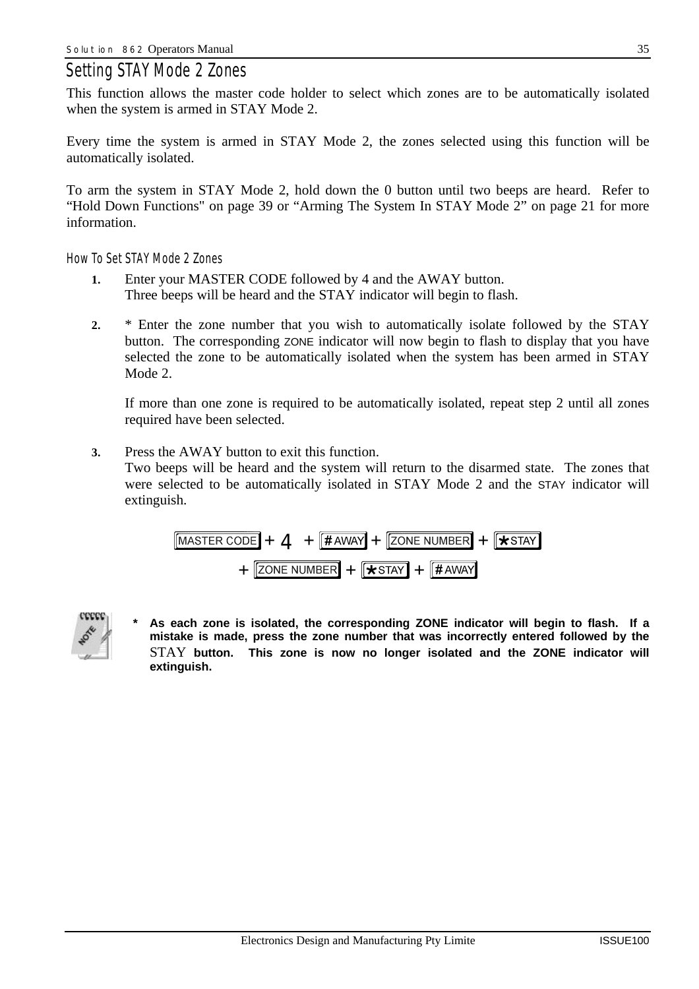### *Setting STAY Mode 2 Zones*

This function allows the master code holder to select which zones are to be automatically isolated when the system is armed in STAY Mode 2.

Every time the system is armed in STAY Mode 2, the zones selected using this function will be automatically isolated.

To arm the system in STAY Mode 2, hold down the 0 button until two beeps are heard. Refer to "Hold Down Functions" on page 39 or "Arming The System In STAY Mode 2" on page 21 for more information.

*How To Set STAY Mode 2 Zones*

- **1.** Enter your MASTER CODE followed by 4 and the AWAY button. Three beeps will be heard and the STAY indicator will begin to flash.
- **2.** \* Enter the zone number that you wish to automatically isolate followed by the STAY button. The corresponding ZONE indicator will now begin to flash to display that you have selected the zone to be automatically isolated when the system has been armed in STAY Mode 2.

If more than one zone is required to be automatically isolated, repeat step 2 until all zones required have been selected.

**3.** Press the AWAY button to exit this function. Two beeps will be heard and the system will return to the disarmed state. The zones that were selected to be automatically isolated in STAY Mode 2 and the STAY indicator will extinguish.

$$
\boxed{\text{MASTER CODE}} + 4 + \boxed{\text{HAWAY}} + \boxed{\text{ZONE NUMBER}} + \boxed{\text{XSTAY}}
$$
\n
$$
+ \boxed{\text{ZONE NUMBER}} + \boxed{\text{KSTAY}}
$$



**\* As each zone is isolated, the corresponding ZONE indicator will begin to flash. If a mistake is made, press the zone number that was incorrectly entered followed by the** STAY **button. This zone is now no longer isolated and the ZONE indicator will extinguish.**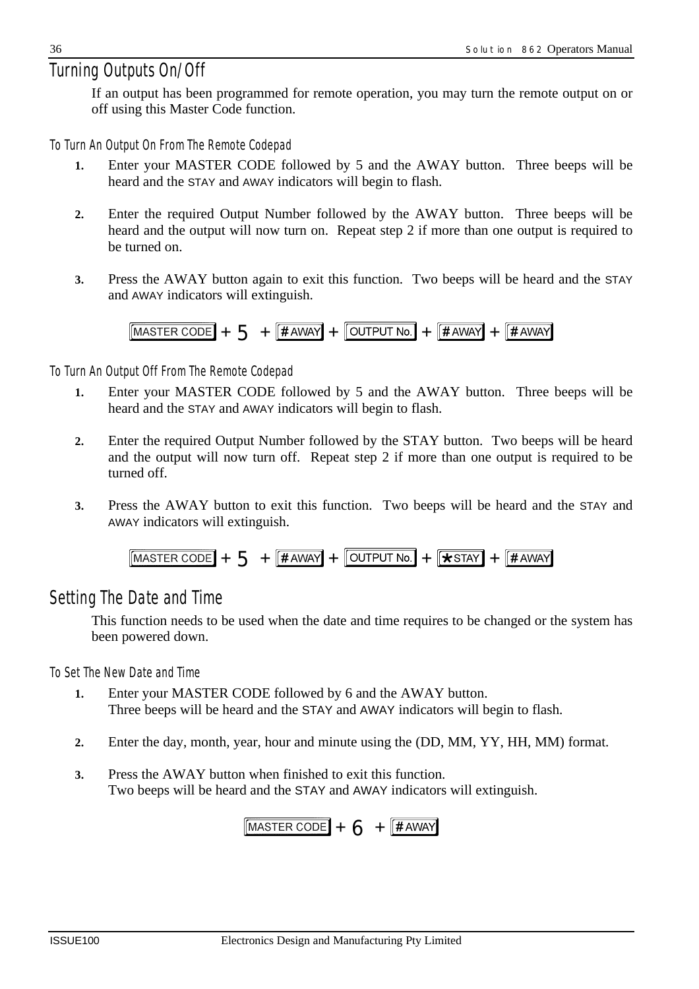### *Turning Outputs On/Off*

If an output has been programmed for remote operation, you may turn the remote output on or off using this Master Code function.

*To Turn An Output On From The Remote Codepad*

- **1.** Enter your MASTER CODE followed by 5 and the AWAY button. Three beeps will be heard and the STAY and AWAY indicators will begin to flash.
- **2.** Enter the required Output Number followed by the AWAY button. Three beeps will be heard and the output will now turn on. Repeat step 2 if more than one output is required to be turned on.
- **3.** Press the AWAY button again to exit this function. Two beeps will be heard and the STAY and AWAY indicators will extinguish.

$$
[{\text{MASTER CODE}}] + 5 + [{\text{HAWAY}}] + [{\text{OUTPUT No.}}] + [{\text{HAWAY}}] + [{\text{HAWAY}}]
$$

#### *To Turn An Output Off From The Remote Codepad*

- **1.** Enter your MASTER CODE followed by 5 and the AWAY button. Three beeps will be heard and the STAY and AWAY indicators will begin to flash.
- **2.** Enter the required Output Number followed by the STAY button. Two beeps will be heard and the output will now turn off. Repeat step 2 if more than one output is required to be turned off.
- **3.** Press the AWAY button to exit this function. Two beeps will be heard and the STAY and AWAY indicators will extinguish.

$$
[{\text{MASTER CODE}}] + 5 + [{\text{HAWAY}}] + [{\text{OUTPUT No.}}] + [{\text{XSTAY}}] + [{\text{HAWAY}}]
$$

### *Setting The Date and Time*

This function needs to be used when the date and time requires to be changed or the system has been powered down.

*To Set The New Date and Time*

- **1.** Enter your MASTER CODE followed by 6 and the AWAY button. Three beeps will be heard and the STAY and AWAY indicators will begin to flash.
- **2.** Enter the day, month, year, hour and minute using the (DD, MM, YY, HH, MM) format.
- **3.** Press the AWAY button when finished to exit this function. Two beeps will be heard and the STAY and AWAY indicators will extinguish.

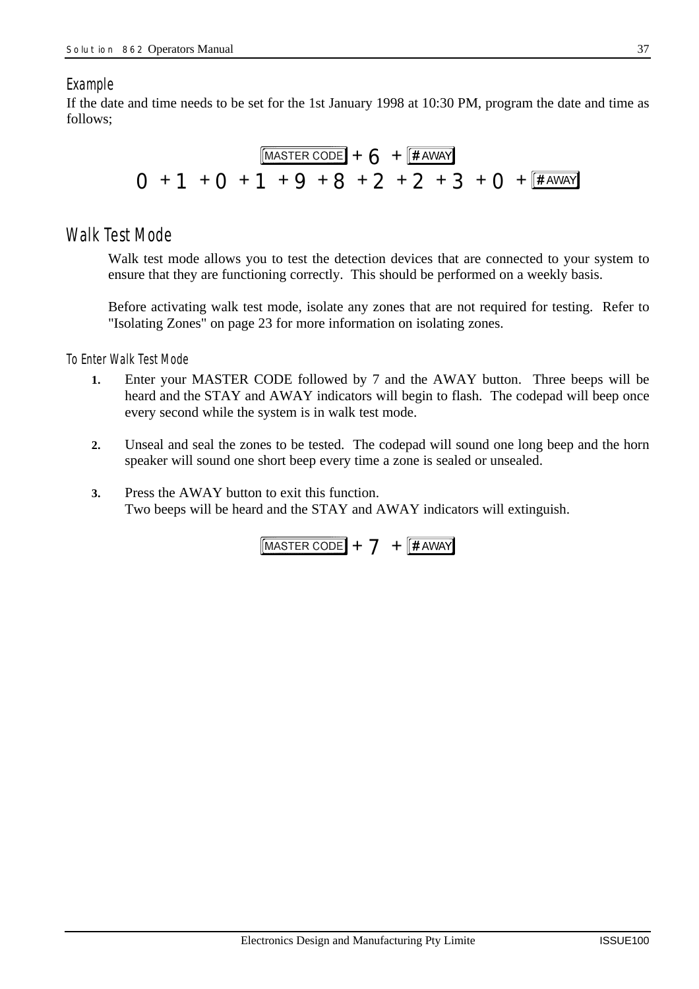#### *Example*

If the date and time needs to be set for the 1st January 1998 at 10:30 PM, program the date and time as follows;



#### *Walk Test Mode*

Walk test mode allows you to test the detection devices that are connected to your system to ensure that they are functioning correctly. This should be performed on a weekly basis.

Before activating walk test mode, isolate any zones that are not required for testing. Refer to "Isolating Zones" on page 23 for more information on isolating zones.

#### *To Enter Walk Test Mode*

- **1.** Enter your MASTER CODE followed by 7 and the AWAY button. Three beeps will be heard and the STAY and AWAY indicators will begin to flash. The codepad will beep once every second while the system is in walk test mode.
- **2.** Unseal and seal the zones to be tested. The codepad will sound one long beep and the horn speaker will sound one short beep every time a zone is sealed or unsealed.
- **3.** Press the AWAY button to exit this function. Two beeps will be heard and the STAY and AWAY indicators will extinguish.

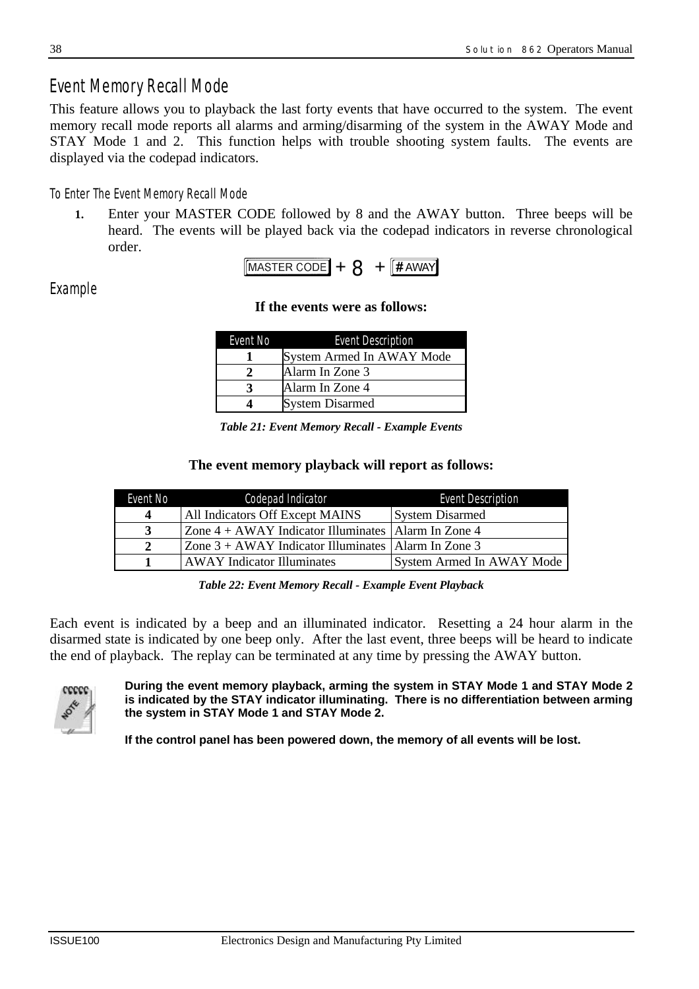### *Event Memory Recall Mode*

This feature allows you to playback the last forty events that have occurred to the system. The event memory recall mode reports all alarms and arming/disarming of the system in the AWAY Mode and STAY Mode 1 and 2. This function helps with trouble shooting system faults. The events are displayed via the codepad indicators.

#### *To Enter The Event Memory Recall Mode*

**1.** Enter your MASTER CODE followed by 8 and the AWAY button. Three beeps will be heard. The events will be played back via the codepad indicators in reverse chronological order.



#### *Example*

#### **If the events were as follows:**

| Event No | <b>Event Description</b>  |
|----------|---------------------------|
|          | System Armed In AWAY Mode |
|          | Alarm In Zone 3           |
|          | Alarm In Zone 4           |
|          | <b>System Disarmed</b>    |

*Table 21: Event Memory Recall - Example Events*

#### **The event memory playback will report as follows:**

| Event No | Codepad Indicator                                                                                   | <b>Event Description</b>  |
|----------|-----------------------------------------------------------------------------------------------------|---------------------------|
| $\Delta$ | All Indicators Off Except MAINS                                                                     | <b>System Disarmed</b>    |
|          | $\vert$ Zone 4 + AWAY Indicator Illuminates $\vert$ Alarm In Zone 4                                 |                           |
|          | $\text{Zone } 3 + \text{AWAY}\text{ Indicator}\text{ Illuminates } \text{[Alarm In} \text{Zone } 3$ |                           |
|          | <b>AWAY</b> Indicator Illuminates                                                                   | System Armed In AWAY Mode |

*Table 22: Event Memory Recall - Example Event Playback*

Each event is indicated by a beep and an illuminated indicator. Resetting a 24 hour alarm in the disarmed state is indicated by one beep only. After the last event, three beeps will be heard to indicate the end of playback. The replay can be terminated at any time by pressing the AWAY button.



#### **During the event memory playback, arming the system in STAY Mode 1 and STAY Mode 2 is indicated by the STAY indicator illuminating. There is no differentiation between arming the system in STAY Mode 1 and STAY Mode 2.**

**If the control panel has been powered down, the memory of all events will be lost.**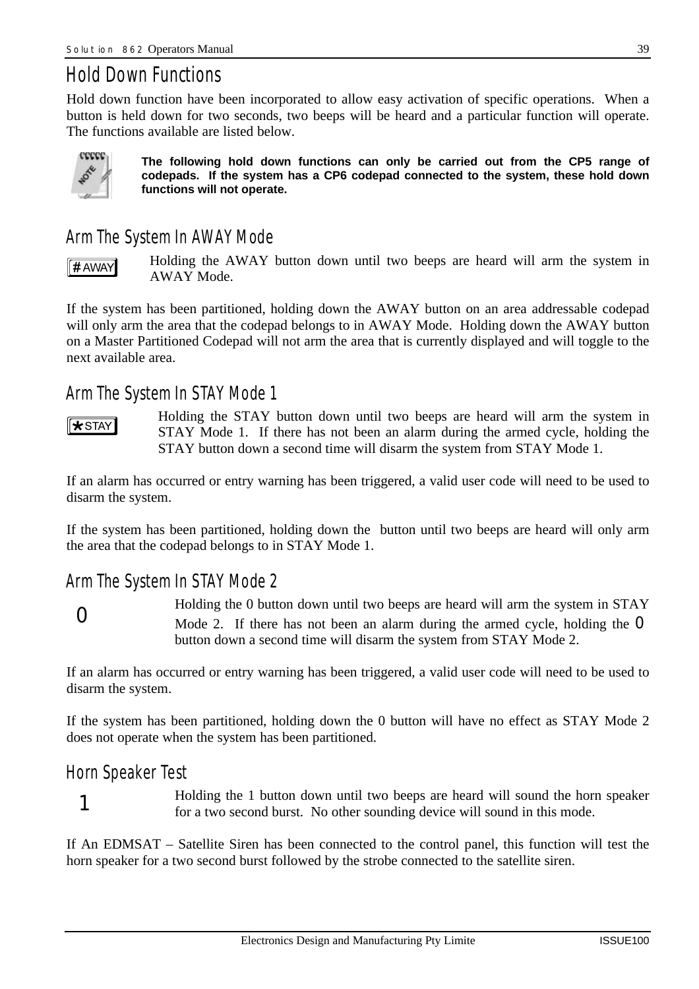# *Hold Down Functions*

Hold down function have been incorporated to allow easy activation of specific operations. When a button is held down for two seconds, two beeps will be heard and a particular function will operate. The functions available are listed below.



**The following hold down functions can only be carried out from the CP5 range of codepads. If the system has a CP6 codepad connected to the system, these hold down functions will not operate.**

### *Arm The System In AWAY Mode*

∬# AWAY

Holding the AWAY button down until two beeps are heard will arm the system in AWAY Mode.

If the system has been partitioned, holding down the AWAY button on an area addressable codepad will only arm the area that the codepad belongs to in AWAY Mode. Holding down the AWAY button on a Master Partitioned Codepad will not arm the area that is currently displayed and will toggle to the next available area.

### *Arm The System In STAY Mode 1*

 $\sqrt{\text{STr}}$ 

Holding the STAY button down until two beeps are heard will arm the system in STAY Mode 1. If there has not been an alarm during the armed cycle, holding the STAY button down a second time will disarm the system from STAY Mode 1.

If an alarm has occurred or entry warning has been triggered, a valid user code will need to be used to disarm the system.

If the system has been partitioned, holding down the button until two beeps are heard will only arm the area that the codepad belongs to in STAY Mode 1.

### *Arm The System In STAY Mode 2*



Holding the 0 button down until two beeps are heard will arm the system in STAY Mode 2. If there has not been an alarm during the armed cycle, holding the  $\bullet$ button down a second time will disarm the system from STAY Mode 2.

If an alarm has occurred or entry warning has been triggered, a valid user code will need to be used to disarm the system.

If the system has been partitioned, holding down the 0 button will have no effect as STAY Mode 2 does not operate when the system has been partitioned.

### *Horn Speaker Test*



Holding the 1 button down until two beeps are heard will sound the horn speaker for a two second burst. No other sounding device will sound in this mode.

If An EDMSAT – Satellite Siren has been connected to the control panel, this function will test the horn speaker for a two second burst followed by the strobe connected to the satellite siren.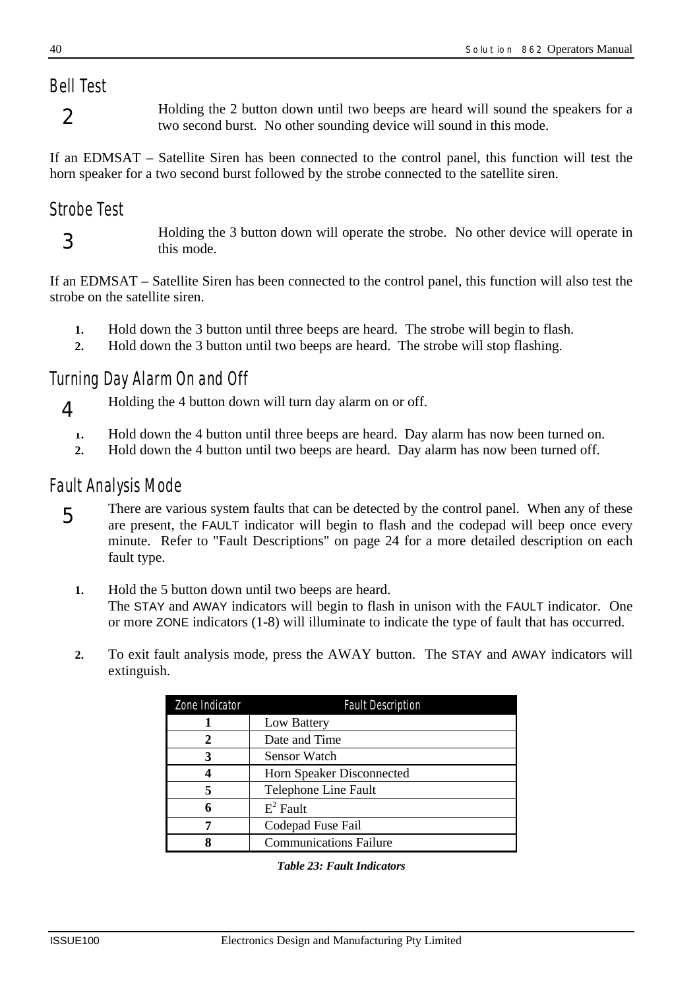# *Bell Test*

2

Holding the 2 button down until two beeps are heard will sound the speakers for a two second burst. No other sounding device will sound in this mode.

If an EDMSAT – Satellite Siren has been connected to the control panel, this function will test the horn speaker for a two second burst followed by the strobe connected to the satellite siren.

### *Strobe Test*

3

 $\blacktriangle$ 

Holding the 3 button down will operate the strobe. No other device will operate in this mode.

If an EDMSAT – Satellite Siren has been connected to the control panel, this function will also test the strobe on the satellite siren.

- **1.** Hold down the 3 button until three beeps are heard. The strobe will begin to flash.
- **2.** Hold down the 3 button until two beeps are heard. The strobe will stop flashing.

### *Turning Day Alarm On and Off*

Holding the 4 button down will turn day alarm on or off.

- **1.** Hold down the 4 button until three beeps are heard. Day alarm has now been turned on.
- **2.** Hold down the 4 button until two beeps are heard. Day alarm has now been turned off.

### *Fault Analysis Mode*

There are various system faults that can be detected by the control panel. When any of these are present, the FAULT indicator will begin to flash and the codepad will beep once every minute. Refer to "Fault Descriptions" on page 24 for a more detailed description on each fault type. 5

- **1.** Hold the 5 button down until two beeps are heard. The STAY and AWAY indicators will begin to flash in unison with the FAULT indicator. One or more ZONE indicators (1-8) will illuminate to indicate the type of fault that has occurred.
- **2.** To exit fault analysis mode, press the AWAY button. The STAY and AWAY indicators will extinguish.

| Zone Indicator | <b>Fault Description</b>      |
|----------------|-------------------------------|
|                | Low Battery                   |
| 2              | Date and Time                 |
| 3              | <b>Sensor Watch</b>           |
|                | Horn Speaker Disconnected     |
| 5              | Telephone Line Fault          |
|                | $E^2$ Fault                   |
|                | Codepad Fuse Fail             |
|                | <b>Communications Failure</b> |

*Table 23: Fault Indicators*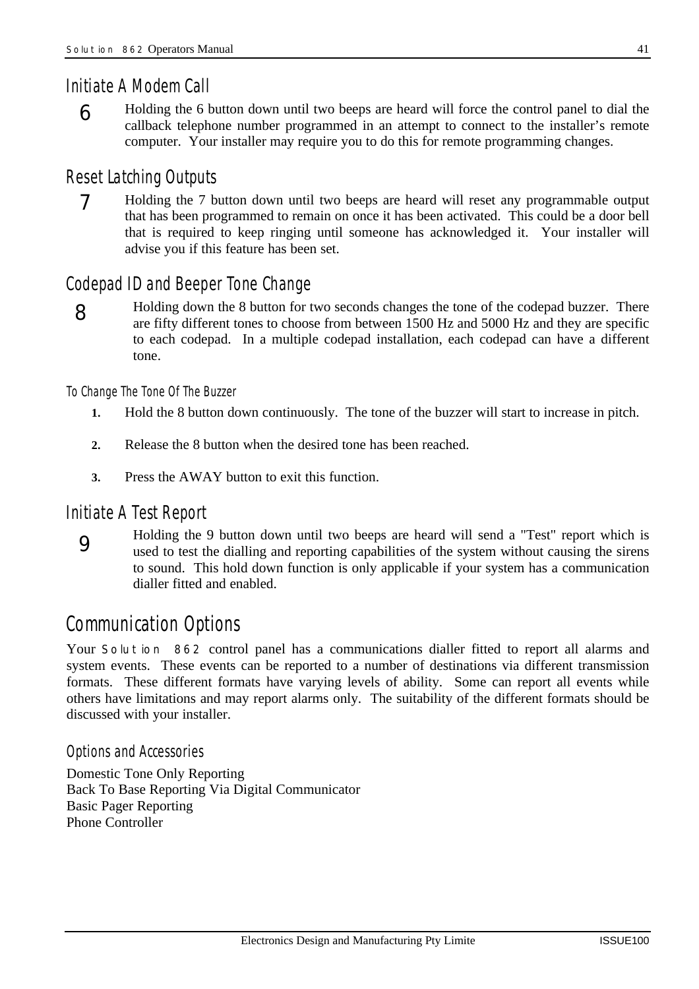#### *Initiate A Modem Call*

6

Holding the 6 button down until two beeps are heard will force the control panel to dial the callback telephone number programmed in an attempt to connect to the installer's remote computer. Your installer may require you to do this for remote programming changes.

#### *Reset Latching Outputs*

7

Holding the 7 button down until two beeps are heard will reset any programmable output that has been programmed to remain on once it has been activated. This could be a door bell that is required to keep ringing until someone has acknowledged it. Your installer will advise you if this feature has been set.

### *Codepad ID and Beeper Tone Change*

8

Holding down the 8 button for two seconds changes the tone of the codepad buzzer. There are fifty different tones to choose from between 1500 Hz and 5000 Hz and they are specific to each codepad. In a multiple codepad installation, each codepad can have a different tone.

#### *To Change The Tone Of The Buzzer*

- **1.** Hold the 8 button down continuously. The tone of the buzzer will start to increase in pitch.
- **2.** Release the 8 button when the desired tone has been reached.
- **3.** Press the AWAY button to exit this function.

#### *Initiate A Test Report*



Holding the 9 button down until two beeps are heard will send a "Test" report which is used to test the dialling and reporting capabilities of the system without causing the sirens to sound. This hold down function is only applicable if your system has a communication dialler fitted and enabled.

# *Communication Options*

Your *Solution 862* control panel has a communications dialler fitted to report all alarms and system events. These events can be reported to a number of destinations via different transmission formats. These different formats have varying levels of ability. Some can report all events while others have limitations and may report alarms only. The suitability of the different formats should be discussed with your installer.

#### *Options and Accessories*

Domestic Tone Only Reporting Back To Base Reporting Via Digital Communicator Basic Pager Reporting Phone Controller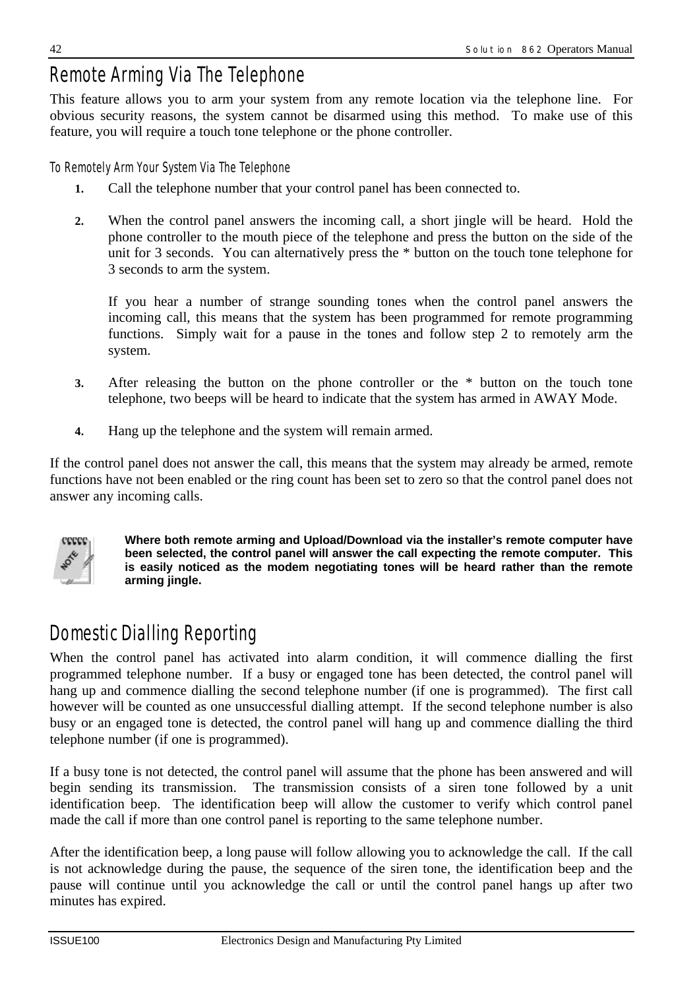# *Remote Arming Via The Telephone*

This feature allows you to arm your system from any remote location via the telephone line. For obvious security reasons, the system cannot be disarmed using this method. To make use of this feature, you will require a touch tone telephone or the phone controller.

#### *To Remotely Arm Your System Via The Telephone*

- **1.** Call the telephone number that your control panel has been connected to.
- **2.** When the control panel answers the incoming call, a short jingle will be heard. Hold the phone controller to the mouth piece of the telephone and press the button on the side of the unit for 3 seconds. You can alternatively press the \* button on the touch tone telephone for 3 seconds to arm the system.

If you hear a number of strange sounding tones when the control panel answers the incoming call, this means that the system has been programmed for remote programming functions. Simply wait for a pause in the tones and follow step 2 to remotely arm the system.

- **3.** After releasing the button on the phone controller or the \* button on the touch tone telephone, two beeps will be heard to indicate that the system has armed in AWAY Mode.
- **4.** Hang up the telephone and the system will remain armed.

If the control panel does not answer the call, this means that the system may already be armed, remote functions have not been enabled or the ring count has been set to zero so that the control panel does not answer any incoming calls.



**Where both remote arming and Upload/Download via the installer's remote computer have been selected, the control panel will answer the call expecting the remote computer. This is easily noticed as the modem negotiating tones will be heard rather than the remote arming jingle.**

# *Domestic Dialling Reporting*

When the control panel has activated into alarm condition, it will commence dialling the first programmed telephone number. If a busy or engaged tone has been detected, the control panel will hang up and commence dialling the second telephone number (if one is programmed). The first call however will be counted as one unsuccessful dialling attempt. If the second telephone number is also busy or an engaged tone is detected, the control panel will hang up and commence dialling the third telephone number (if one is programmed).

If a busy tone is not detected, the control panel will assume that the phone has been answered and will begin sending its transmission. The transmission consists of a siren tone followed by a unit identification beep. The identification beep will allow the customer to verify which control panel made the call if more than one control panel is reporting to the same telephone number.

After the identification beep, a long pause will follow allowing you to acknowledge the call. If the call is not acknowledge during the pause, the sequence of the siren tone, the identification beep and the pause will continue until you acknowledge the call or until the control panel hangs up after two minutes has expired.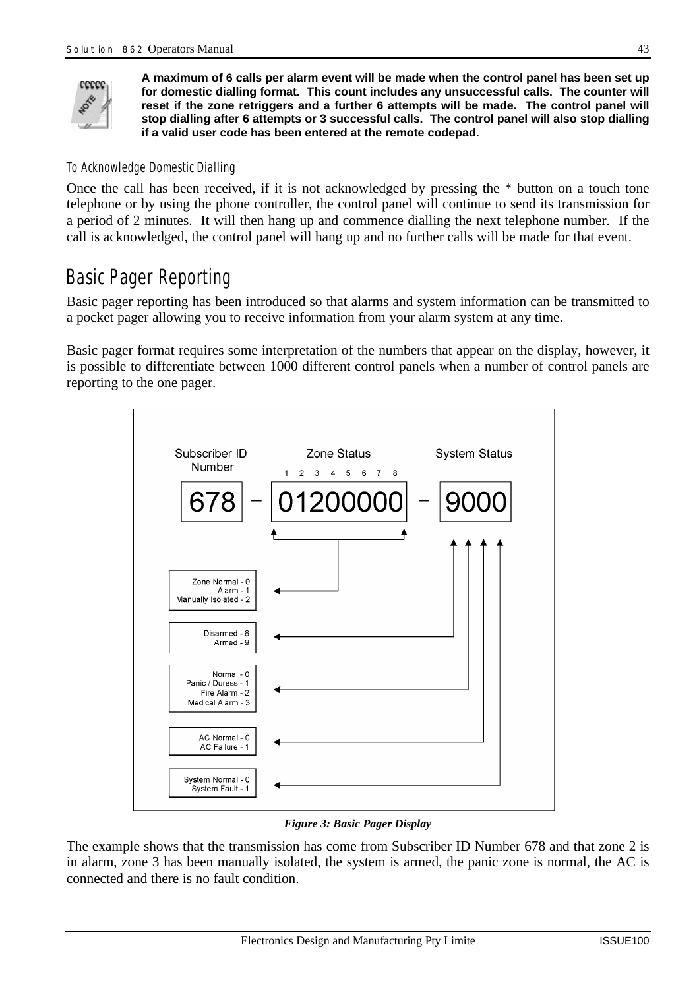

**A maximum of 6 calls per alarm event will be made when the control panel has been set up for domestic dialling format. This count includes any unsuccessful calls. The counter will reset if the zone retriggers and a further 6 attempts will be made. The control panel will stop dialling after 6 attempts or 3 successful calls. The control panel will also stop dialling if a valid user code has been entered at the remote codepad.**

#### *To Acknowledge Domestic Dialling*

Once the call has been received, if it is not acknowledged by pressing the \* button on a touch tone telephone or by using the phone controller, the control panel will continue to send its transmission for a period of 2 minutes. It will then hang up and commence dialling the next telephone number. If the call is acknowledged, the control panel will hang up and no further calls will be made for that event.

# *Basic Pager Reporting*

Basic pager reporting has been introduced so that alarms and system information can be transmitted to a pocket pager allowing you to receive information from your alarm system at any time.

Basic pager format requires some interpretation of the numbers that appear on the display, however, it is possible to differentiate between 1000 different control panels when a number of control panels are reporting to the one pager.



#### *Figure 3: Basic Pager Display*

The example shows that the transmission has come from Subscriber ID Number 678 and that zone 2 is in alarm, zone 3 has been manually isolated, the system is armed, the panic zone is normal, the AC is connected and there is no fault condition.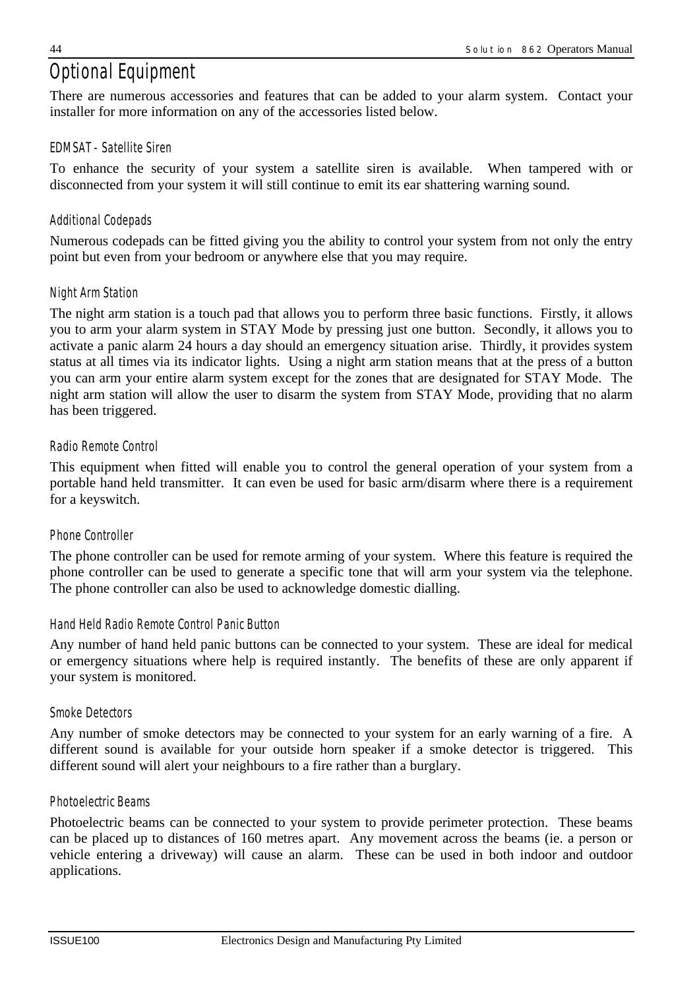# *Optional Equipment*

There are numerous accessories and features that can be added to your alarm system. Contact your installer for more information on any of the accessories listed below.

#### *EDMSAT - Satellite Siren*

To enhance the security of your system a satellite siren is available. When tampered with or disconnected from your system it will still continue to emit its ear shattering warning sound.

#### *Additional Codepads*

Numerous codepads can be fitted giving you the ability to control your system from not only the entry point but even from your bedroom or anywhere else that you may require.

#### *Night Arm Station*

The night arm station is a touch pad that allows you to perform three basic functions. Firstly, it allows you to arm your alarm system in STAY Mode by pressing just one button. Secondly, it allows you to activate a panic alarm 24 hours a day should an emergency situation arise. Thirdly, it provides system status at all times via its indicator lights. Using a night arm station means that at the press of a button you can arm your entire alarm system except for the zones that are designated for STAY Mode. The night arm station will allow the user to disarm the system from STAY Mode, providing that no alarm has been triggered.

#### *Radio Remote Control*

This equipment when fitted will enable you to control the general operation of your system from a portable hand held transmitter. It can even be used for basic arm/disarm where there is a requirement for a keyswitch.

#### *Phone Controller*

The phone controller can be used for remote arming of your system. Where this feature is required the phone controller can be used to generate a specific tone that will arm your system via the telephone. The phone controller can also be used to acknowledge domestic dialling.

#### *Hand Held Radio Remote Control Panic Button*

Any number of hand held panic buttons can be connected to your system. These are ideal for medical or emergency situations where help is required instantly. The benefits of these are only apparent if your system is monitored.

#### *Smoke Detectors*

Any number of smoke detectors may be connected to your system for an early warning of a fire. A different sound is available for your outside horn speaker if a smoke detector is triggered. This different sound will alert your neighbours to a fire rather than a burglary.

#### *Photoelectric Beams*

Photoelectric beams can be connected to your system to provide perimeter protection. These beams can be placed up to distances of 160 metres apart. Any movement across the beams (ie. a person or vehicle entering a driveway) will cause an alarm. These can be used in both indoor and outdoor applications.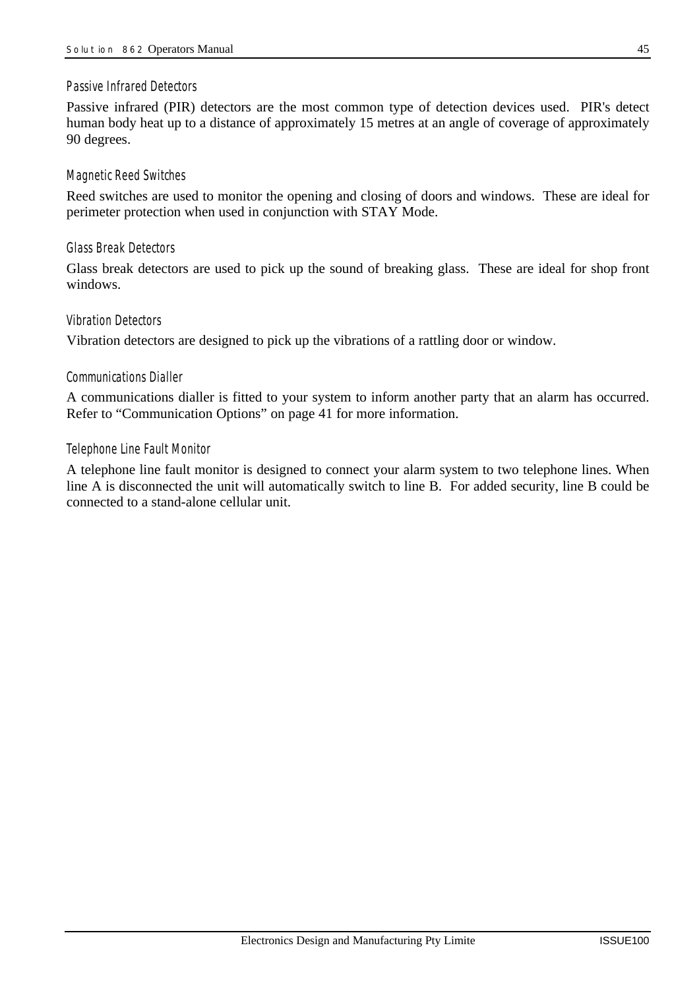#### *Passive Infrared Detectors*

Passive infrared (PIR) detectors are the most common type of detection devices used. PIR's detect human body heat up to a distance of approximately 15 metres at an angle of coverage of approximately 90 degrees.

#### *Magnetic Reed Switches*

Reed switches are used to monitor the opening and closing of doors and windows. These are ideal for perimeter protection when used in conjunction with STAY Mode.

#### *Glass Break Detectors*

Glass break detectors are used to pick up the sound of breaking glass. These are ideal for shop front windows.

#### *Vibration Detectors*

Vibration detectors are designed to pick up the vibrations of a rattling door or window.

#### *Communications Dialler*

A communications dialler is fitted to your system to inform another party that an alarm has occurred. Refer to "Communication Options" on page 41 for more information.

#### *Telephone Line Fault Monitor*

A telephone line fault monitor is designed to connect your alarm system to two telephone lines. When line A is disconnected the unit will automatically switch to line B. For added security, line B could be connected to a stand-alone cellular unit.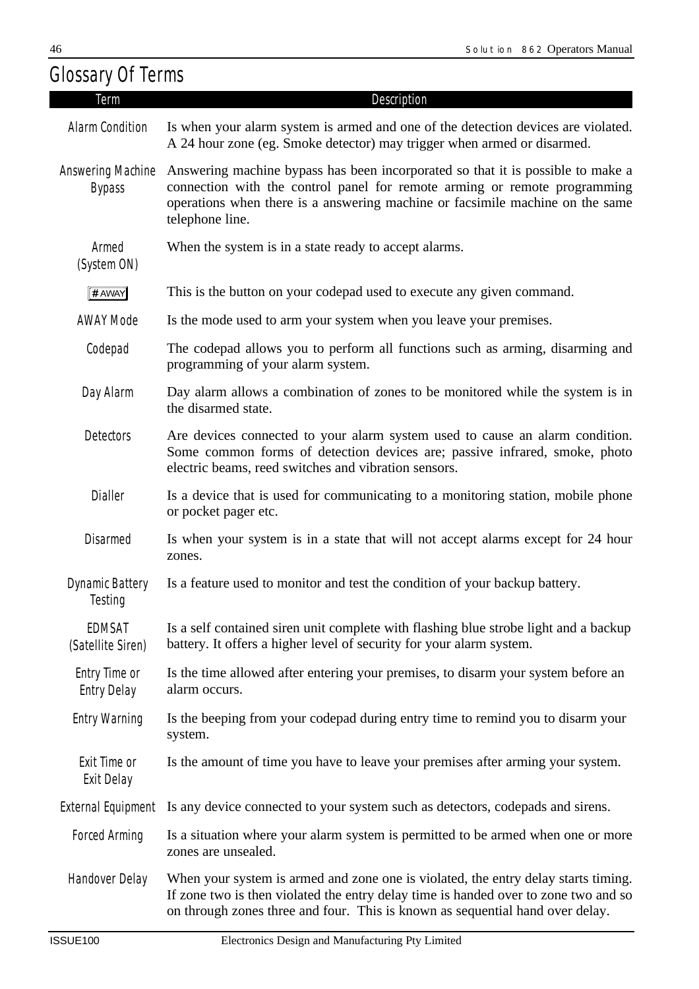| <b>Glossary Of Terms</b>                  |                                                                                                                                                                                                                                                                  |
|-------------------------------------------|------------------------------------------------------------------------------------------------------------------------------------------------------------------------------------------------------------------------------------------------------------------|
| Term                                      | Description                                                                                                                                                                                                                                                      |
| Alarm Condition                           | Is when your alarm system is armed and one of the detection devices are violated.<br>A 24 hour zone (eg. Smoke detector) may trigger when armed or disarmed.                                                                                                     |
| <b>Answering Machine</b><br><b>Bypass</b> | Answering machine bypass has been incorporated so that it is possible to make a<br>connection with the control panel for remote arming or remote programming<br>operations when there is a answering machine or facsimile machine on the same<br>telephone line. |
| Armed<br>(System ON)                      | When the system is in a state ready to accept alarms.                                                                                                                                                                                                            |
| # AWAY                                    | This is the button on your codepad used to execute any given command.                                                                                                                                                                                            |
| <b>AWAY Mode</b>                          | Is the mode used to arm your system when you leave your premises.                                                                                                                                                                                                |
| Codepad                                   | The codepad allows you to perform all functions such as arming, disarming and<br>programming of your alarm system.                                                                                                                                               |
| Day Alarm                                 | Day alarm allows a combination of zones to be monitored while the system is in<br>the disarmed state.                                                                                                                                                            |
| <b>Detectors</b>                          | Are devices connected to your alarm system used to cause an alarm condition.<br>Some common forms of detection devices are; passive infrared, smoke, photo<br>electric beams, reed switches and vibration sensors.                                               |
| <b>Dialler</b>                            | Is a device that is used for communicating to a monitoring station, mobile phone<br>or pocket pager etc.                                                                                                                                                         |
| <b>Disarmed</b>                           | Is when your system is in a state that will not accept alarms except for 24 hour<br>zones.                                                                                                                                                                       |
| Testing                                   | Dynamic Battery Is a feature used to monitor and test the condition of your backup battery.                                                                                                                                                                      |
| EDMSAT<br>(Satellite Siren)               | Is a self contained siren unit complete with flashing blue strobe light and a backup<br>battery. It offers a higher level of security for your alarm system.                                                                                                     |
| Entry Time or<br><b>Entry Delay</b>       | Is the time allowed after entering your premises, to disarm your system before an<br>alarm occurs.                                                                                                                                                               |
| <b>Entry Warning</b>                      | Is the beeping from your codepad during entry time to remind you to disarm your<br>system.                                                                                                                                                                       |
| Exit Time or<br>Exit Delay                | Is the amount of time you have to leave your premises after arming your system.                                                                                                                                                                                  |
|                                           | External Equipment Is any device connected to your system such as detectors, codepads and sirens.                                                                                                                                                                |
| <b>Forced Arming</b>                      | Is a situation where your alarm system is permitted to be armed when one or more<br>zones are unsealed.                                                                                                                                                          |
| Handover Delay                            | When your system is armed and zone one is violated, the entry delay starts timing.<br>If zone two is then violated the entry delay time is handed over to zone two and so<br>on through zones three and four. This is known as sequential hand over delay.       |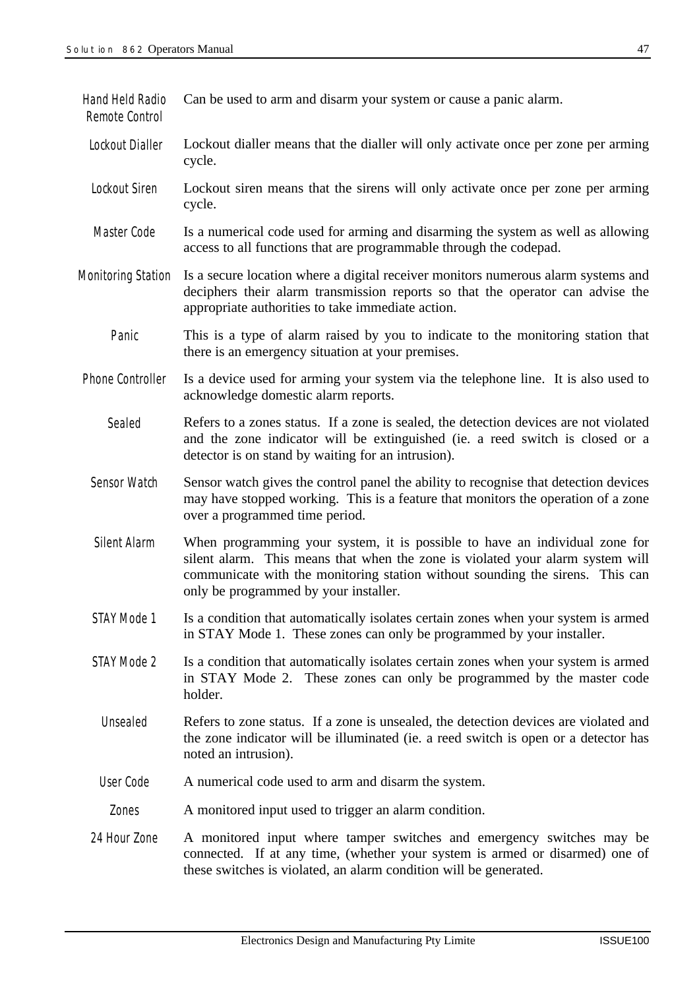| Hand Held Radio<br>Remote Control | Can be used to arm and disarm your system or cause a panic alarm.                                                                                                                                                                                                                       |
|-----------------------------------|-----------------------------------------------------------------------------------------------------------------------------------------------------------------------------------------------------------------------------------------------------------------------------------------|
| Lockout Dialler                   | Lockout dialler means that the dialler will only activate once per zone per arming<br>cycle.                                                                                                                                                                                            |
| Lockout Siren                     | Lockout siren means that the sirens will only activate once per zone per arming<br>cycle.                                                                                                                                                                                               |
| Master Code                       | Is a numerical code used for arming and disarming the system as well as allowing<br>access to all functions that are programmable through the codepad.                                                                                                                                  |
| <b>Monitoring Station</b>         | Is a secure location where a digital receiver monitors numerous alarm systems and<br>deciphers their alarm transmission reports so that the operator can advise the<br>appropriate authorities to take immediate action.                                                                |
| Panic                             | This is a type of alarm raised by you to indicate to the monitoring station that<br>there is an emergency situation at your premises.                                                                                                                                                   |
| Phone Controller                  | Is a device used for arming your system via the telephone line. It is also used to<br>acknowledge domestic alarm reports.                                                                                                                                                               |
| Sealed                            | Refers to a zones status. If a zone is sealed, the detection devices are not violated<br>and the zone indicator will be extinguished (ie. a reed switch is closed or a<br>detector is on stand by waiting for an intrusion).                                                            |
| Sensor Watch                      | Sensor watch gives the control panel the ability to recognise that detection devices<br>may have stopped working. This is a feature that monitors the operation of a zone<br>over a programmed time period.                                                                             |
| Silent Alarm                      | When programming your system, it is possible to have an individual zone for<br>silent alarm. This means that when the zone is violated your alarm system will<br>communicate with the monitoring station without sounding the sirens. This can<br>only be programmed by your installer. |
| STAY Mode 1                       | Is a condition that automatically isolates certain zones when your system is armed<br>in STAY Mode 1. These zones can only be programmed by your installer.                                                                                                                             |
| STAY Mode 2                       | Is a condition that automatically isolates certain zones when your system is armed<br>in STAY Mode 2. These zones can only be programmed by the master code<br>holder.                                                                                                                  |
| Unsealed                          | Refers to zone status. If a zone is unsealed, the detection devices are violated and<br>the zone indicator will be illuminated (ie. a reed switch is open or a detector has<br>noted an intrusion).                                                                                     |
| User Code                         | A numerical code used to arm and disarm the system.                                                                                                                                                                                                                                     |
| Zones                             | A monitored input used to trigger an alarm condition.                                                                                                                                                                                                                                   |
| 24 Hour Zone                      | A monitored input where tamper switches and emergency switches may be<br>connected. If at any time, (whether your system is armed or disarmed) one of<br>these switches is violated, an alarm condition will be generated.                                                              |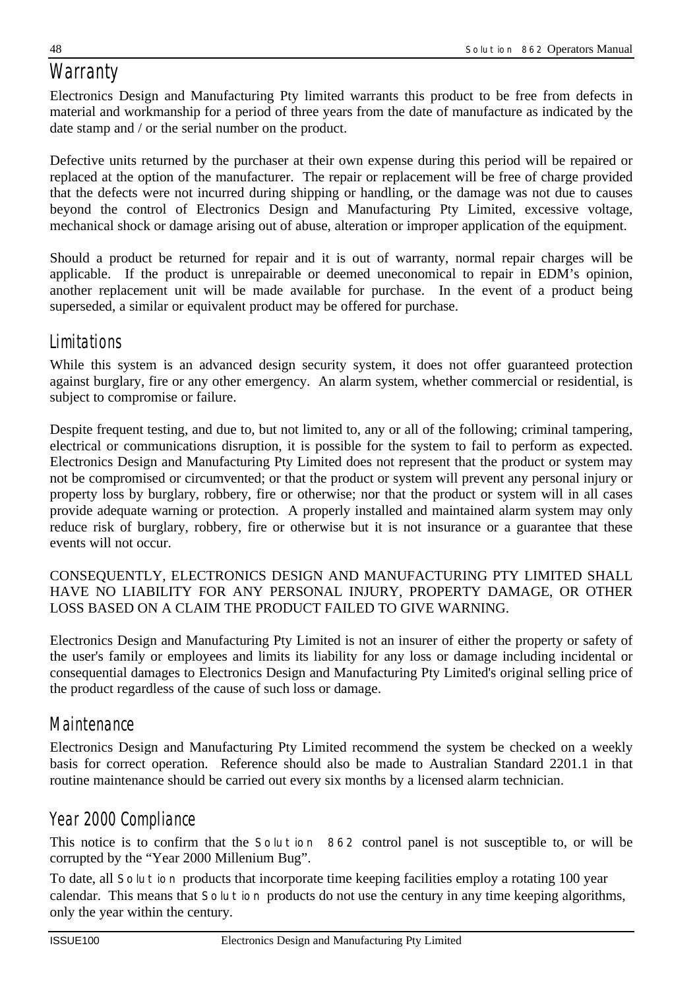# *Warranty*

Electronics Design and Manufacturing Pty limited warrants this product to be free from defects in material and workmanship for a period of three years from the date of manufacture as indicated by the date stamp and / or the serial number on the product.

Defective units returned by the purchaser at their own expense during this period will be repaired or replaced at the option of the manufacturer. The repair or replacement will be free of charge provided that the defects were not incurred during shipping or handling, or the damage was not due to causes beyond the control of Electronics Design and Manufacturing Pty Limited, excessive voltage, mechanical shock or damage arising out of abuse, alteration or improper application of the equipment.

Should a product be returned for repair and it is out of warranty, normal repair charges will be applicable. If the product is unrepairable or deemed uneconomical to repair in EDM's opinion, another replacement unit will be made available for purchase. In the event of a product being superseded, a similar or equivalent product may be offered for purchase.

# *Limitations*

While this system is an advanced design security system, it does not offer guaranteed protection against burglary, fire or any other emergency. An alarm system, whether commercial or residential, is subject to compromise or failure.

Despite frequent testing, and due to, but not limited to, any or all of the following; criminal tampering, electrical or communications disruption, it is possible for the system to fail to perform as expected. Electronics Design and Manufacturing Pty Limited does not represent that the product or system may not be compromised or circumvented; or that the product or system will prevent any personal injury or property loss by burglary, robbery, fire or otherwise; nor that the product or system will in all cases provide adequate warning or protection. A properly installed and maintained alarm system may only reduce risk of burglary, robbery, fire or otherwise but it is not insurance or a guarantee that these events will not occur.

#### CONSEQUENTLY, ELECTRONICS DESIGN AND MANUFACTURING PTY LIMITED SHALL HAVE NO LIABILITY FOR ANY PERSONAL INJURY, PROPERTY DAMAGE, OR OTHER LOSS BASED ON A CLAIM THE PRODUCT FAILED TO GIVE WARNING.

Electronics Design and Manufacturing Pty Limited is not an insurer of either the property or safety of the user's family or employees and limits its liability for any loss or damage including incidental or consequential damages to Electronics Design and Manufacturing Pty Limited's original selling price of the product regardless of the cause of such loss or damage.

# *Maintenance*

Electronics Design and Manufacturing Pty Limited recommend the system be checked on a weekly basis for correct operation. Reference should also be made to Australian Standard 2201.1 in that routine maintenance should be carried out every six months by a licensed alarm technician.

# *Year 2000 Compliance*

This notice is to confirm that the *Solution 862* control panel is not susceptible to, or will be corrupted by the "Year 2000 Millenium Bug".

To date, all *Solution* products that incorporate time keeping facilities employ a rotating 100 year calendar. This means that *Solution* products do not use the century in any time keeping algorithms, only the year within the century.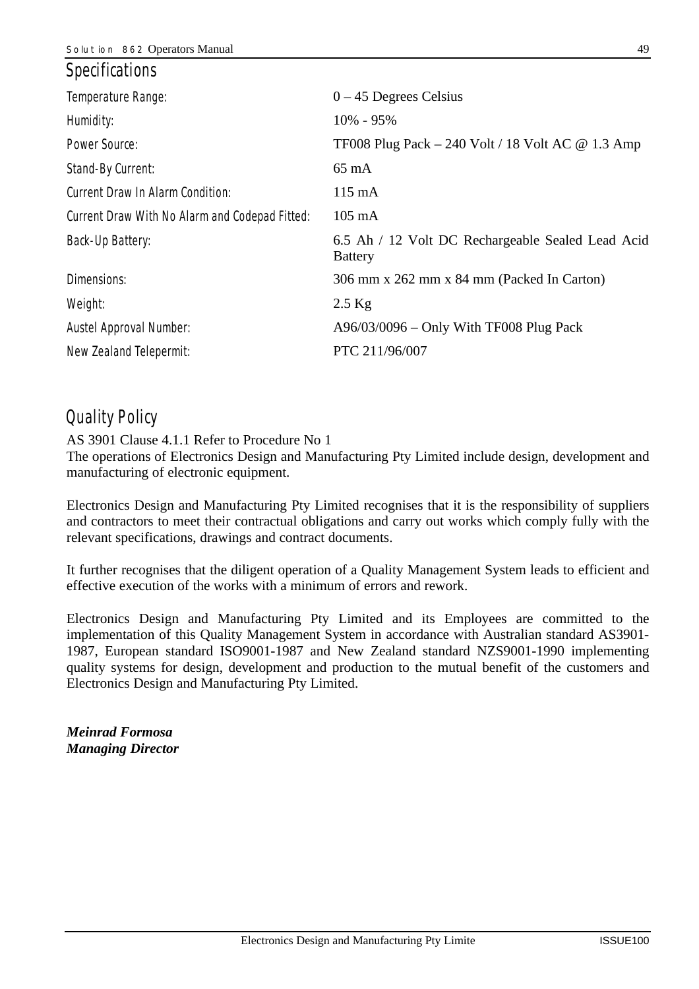| <i>Specifications</i>                          |                                                                     |
|------------------------------------------------|---------------------------------------------------------------------|
| Temperature Range:                             | $0 - 45$ Degrees Celsius                                            |
| Humidity:                                      | $10\% - 95\%$                                                       |
| Power Source:                                  | TF008 Plug Pack $-$ 240 Volt / 18 Volt AC @ 1.3 Amp                 |
| Stand-By Current:                              | $65 \text{ mA}$                                                     |
| Current Draw In Alarm Condition:               | $115 \text{ mA}$                                                    |
| Current Draw With No Alarm and Codepad Fitted: | $105 \text{ mA}$                                                    |
| Back-Up Battery:                               | 6.5 Ah / 12 Volt DC Rechargeable Sealed Lead Acid<br><b>Battery</b> |
| Dimensions:                                    | 306 mm x 262 mm x 84 mm (Packed In Carton)                          |
| Weight:                                        | $2.5$ Kg                                                            |
| Austel Approval Number:                        | $A96/03/0096 - Only With TF008 Plug Pack$                           |
| New Zealand Telepermit:                        | PTC 211/96/007                                                      |

# *Quality Policy*

AS 3901 Clause 4.1.1 Refer to Procedure No 1

The operations of Electronics Design and Manufacturing Pty Limited include design, development and manufacturing of electronic equipment.

Electronics Design and Manufacturing Pty Limited recognises that it is the responsibility of suppliers and contractors to meet their contractual obligations and carry out works which comply fully with the relevant specifications, drawings and contract documents.

It further recognises that the diligent operation of a Quality Management System leads to efficient and effective execution of the works with a minimum of errors and rework.

Electronics Design and Manufacturing Pty Limited and its Employees are committed to the implementation of this Quality Management System in accordance with Australian standard AS3901- 1987, European standard ISO9001-1987 and New Zealand standard NZS9001-1990 implementing quality systems for design, development and production to the mutual benefit of the customers and Electronics Design and Manufacturing Pty Limited.

*Meinrad Formosa Managing Director*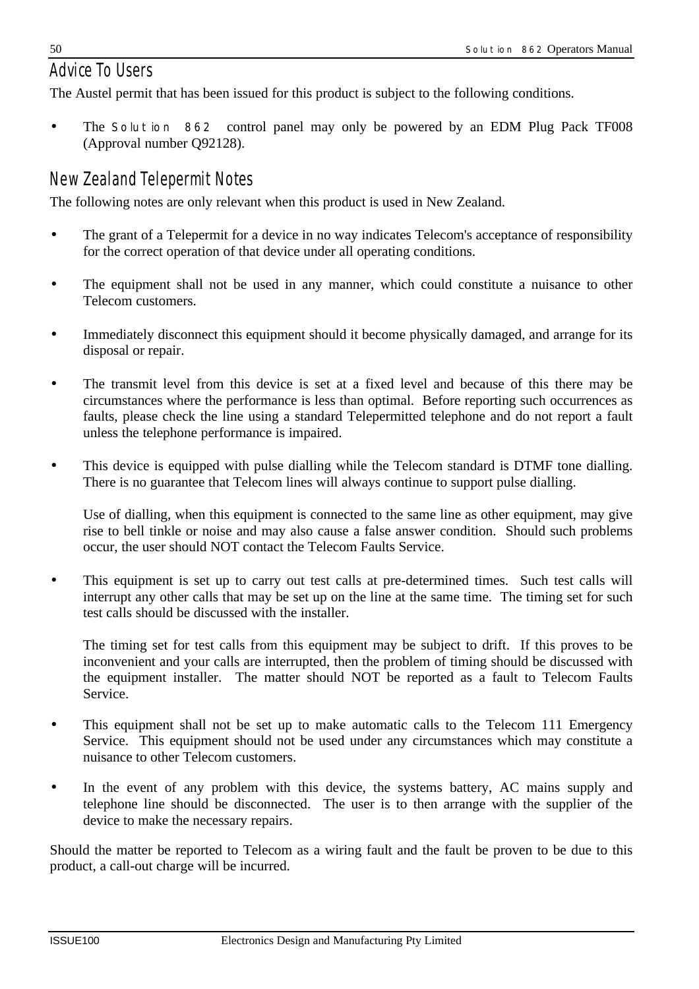# *Advice To Users*

The Austel permit that has been issued for this product is subject to the following conditions.

• The *Solution 862* control panel may only be powered by an EDM Plug Pack TF008 (Approval number Q92128).

# *New Zealand Telepermit Notes*

The following notes are only relevant when this product is used in New Zealand.

- The grant of a Telepermit for a device in no way indicates Telecom's acceptance of responsibility for the correct operation of that device under all operating conditions.
- The equipment shall not be used in any manner, which could constitute a nuisance to other Telecom customers.
- Immediately disconnect this equipment should it become physically damaged, and arrange for its disposal or repair.
- The transmit level from this device is set at a fixed level and because of this there may be circumstances where the performance is less than optimal. Before reporting such occurrences as faults, please check the line using a standard Telepermitted telephone and do not report a fault unless the telephone performance is impaired.
- This device is equipped with pulse dialling while the Telecom standard is DTMF tone dialling. There is no guarantee that Telecom lines will always continue to support pulse dialling.

Use of dialling, when this equipment is connected to the same line as other equipment, may give rise to bell tinkle or noise and may also cause a false answer condition. Should such problems occur, the user should NOT contact the Telecom Faults Service.

• This equipment is set up to carry out test calls at pre-determined times. Such test calls will interrupt any other calls that may be set up on the line at the same time. The timing set for such test calls should be discussed with the installer.

The timing set for test calls from this equipment may be subject to drift. If this proves to be inconvenient and your calls are interrupted, then the problem of timing should be discussed with the equipment installer. The matter should NOT be reported as a fault to Telecom Faults Service.

- This equipment shall not be set up to make automatic calls to the Telecom 111 Emergency Service. This equipment should not be used under any circumstances which may constitute a nuisance to other Telecom customers.
- In the event of any problem with this device, the systems battery, AC mains supply and telephone line should be disconnected. The user is to then arrange with the supplier of the device to make the necessary repairs.

Should the matter be reported to Telecom as a wiring fault and the fault be proven to be due to this product, a call-out charge will be incurred.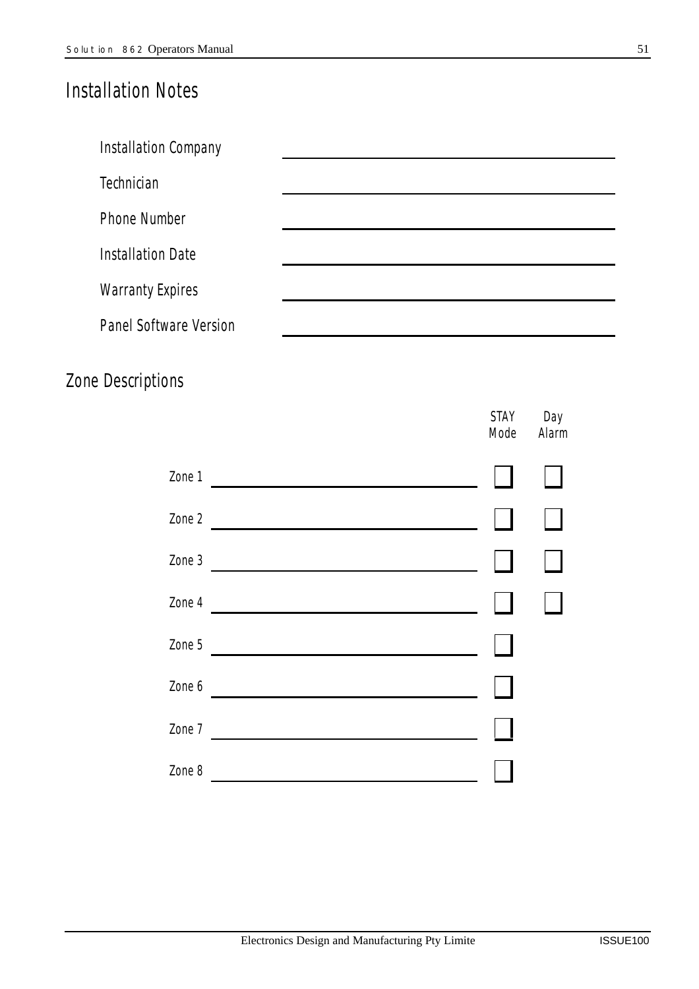# *Installation Notes*

| Installation Company     |  |
|--------------------------|--|
| Technician               |  |
| <b>Phone Number</b>      |  |
| <b>Installation Date</b> |  |
| <b>Warranty Expires</b>  |  |
| Panel Software Version   |  |

# *Zone Descriptions*

|                                                                                                                                                                                                                                                | STAY<br>Mode | Day<br>Alarm |
|------------------------------------------------------------------------------------------------------------------------------------------------------------------------------------------------------------------------------------------------|--------------|--------------|
| Zone 1<br><u> Andreas Andreas Andreas Andreas Andreas Andreas Andreas Andreas Andreas Andreas Andreas Andreas Andreas Andreas Andreas Andreas Andreas Andreas Andreas Andreas Andreas Andreas Andreas Andreas Andreas Andreas Andreas Andr</u> |              |              |
| Zone 2<br><u> 1989 - Johann Stoff, deutscher Stoffen und der Stoffen und der Stoffen und der Stoffen und der Stoffen und der Stoffen und der Stoffen und der Stoffen und der Stoffen und der Stoffen und der Stoffen und der Stoffen und d</u> |              |              |
| Zone 3<br><u> 1980 - Jan Barnett, fransk politik (d. 1980)</u>                                                                                                                                                                                 |              |              |
| Zone 4                                                                                                                                                                                                                                         |              |              |
| Zone 5                                                                                                                                                                                                                                         |              |              |
| Zone 6                                                                                                                                                                                                                                         |              |              |
| Zone 7                                                                                                                                                                                                                                         |              |              |
| Zone 8                                                                                                                                                                                                                                         |              |              |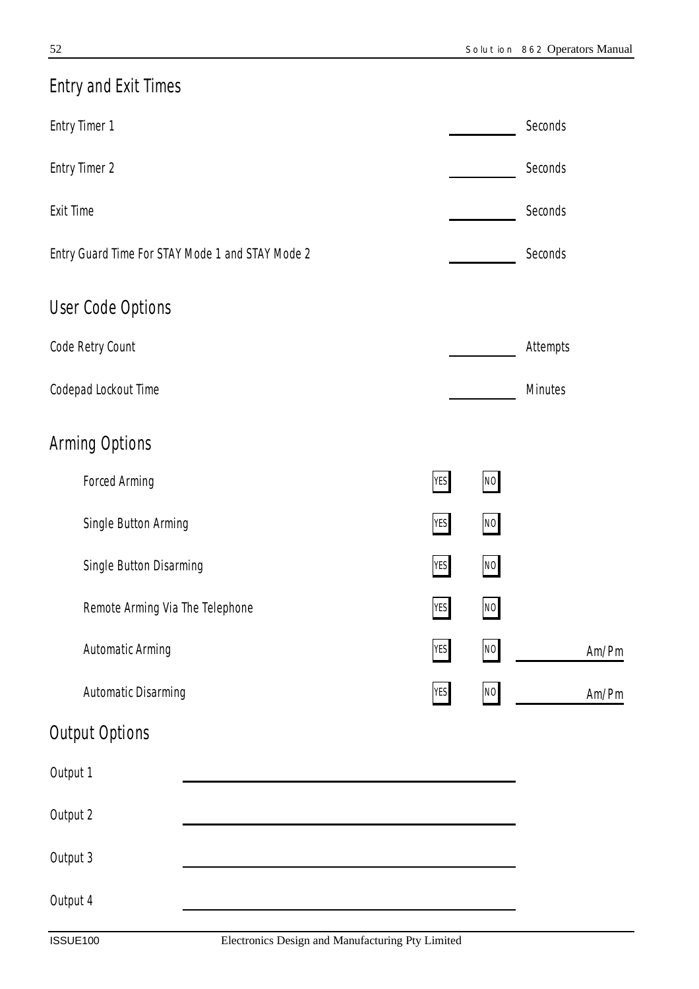| <b>Entry and Exit Times</b>                                         |            |      |                |       |
|---------------------------------------------------------------------|------------|------|----------------|-------|
| <b>Entry Timer 1</b>                                                |            |      | Seconds        |       |
| <b>Entry Timer 2</b>                                                |            |      | Seconds        |       |
| <b>Exit Time</b>                                                    |            |      | Seconds        |       |
| Entry Guard Time For STAY Mode 1 and STAY Mode 2                    |            |      | Seconds        |       |
| <b>User Code Options</b>                                            |            |      |                |       |
| Code Retry Count                                                    |            |      | Attempts       |       |
| Codepad Lockout Time                                                |            |      | <b>Minutes</b> |       |
| <b>Arming Options</b>                                               |            |      |                |       |
| <b>Forced Arming</b>                                                | YES        | $NO$ |                |       |
| Single Button Arming                                                | <b>YES</b> | $NO$ |                |       |
| Single Button Disarming                                             | YES        | NO   |                |       |
| Remote Arming Via The Telephone                                     | <b>YES</b> | $NO$ |                |       |
| Automatic Arming                                                    | YES        | NO   |                | Am/Pr |
| Automatic Disarming                                                 | YES        | NO   |                | Am/Pm |
| <b>Output Options</b>                                               |            |      |                |       |
| Output 1                                                            |            |      |                |       |
| Output 2                                                            |            |      |                |       |
| Output 3                                                            |            |      |                |       |
| Output 4                                                            |            |      |                |       |
| Electronics Design and Manufacturing Pty Limited<br><b>ISSUE100</b> |            |      |                |       |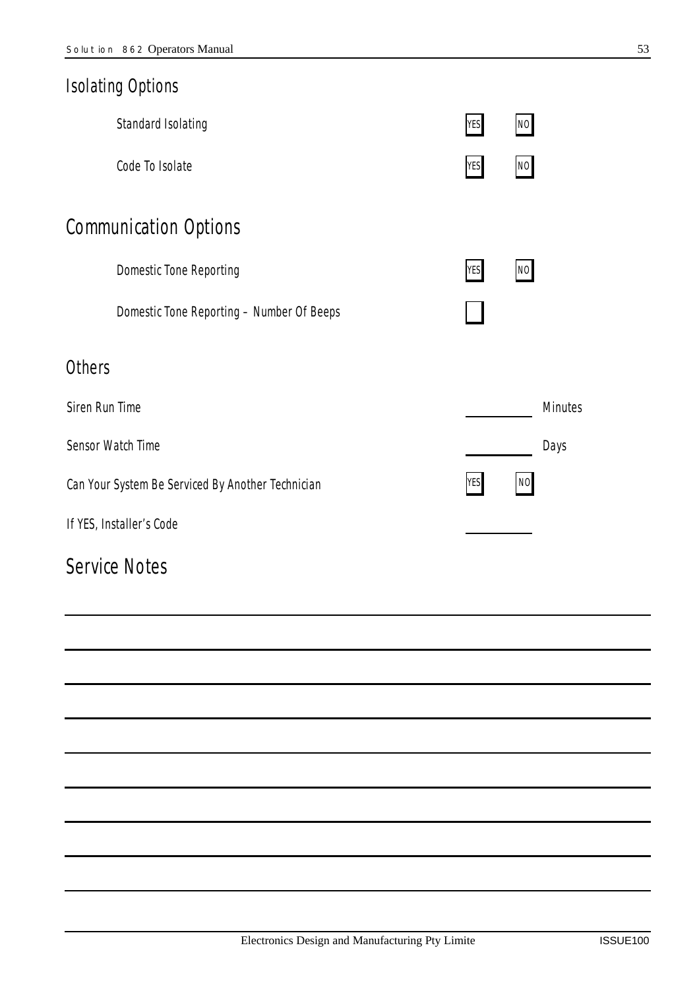|                                                   | <b>Isolating Options</b>                  |            |      |                |
|---------------------------------------------------|-------------------------------------------|------------|------|----------------|
|                                                   | Standard Isolating                        | <b>YES</b> | $NO$ |                |
|                                                   | Code To Isolate                           | YES        | NO   |                |
|                                                   | <b>Communication Options</b>              |            |      |                |
|                                                   | <b>Domestic Tone Reporting</b>            | <b>YES</b> | NO   |                |
|                                                   | Domestic Tone Reporting - Number Of Beeps |            |      |                |
| <b>Others</b>                                     |                                           |            |      |                |
| Siren Run Time                                    |                                           |            |      | <b>Minutes</b> |
|                                                   | Sensor Watch Time                         |            |      | Days           |
| Can Your System Be Serviced By Another Technician |                                           | <b>YES</b> | NO   |                |
| If YES, Installer's Code                          |                                           |            |      |                |
|                                                   | <b>Service Notes</b>                      |            |      |                |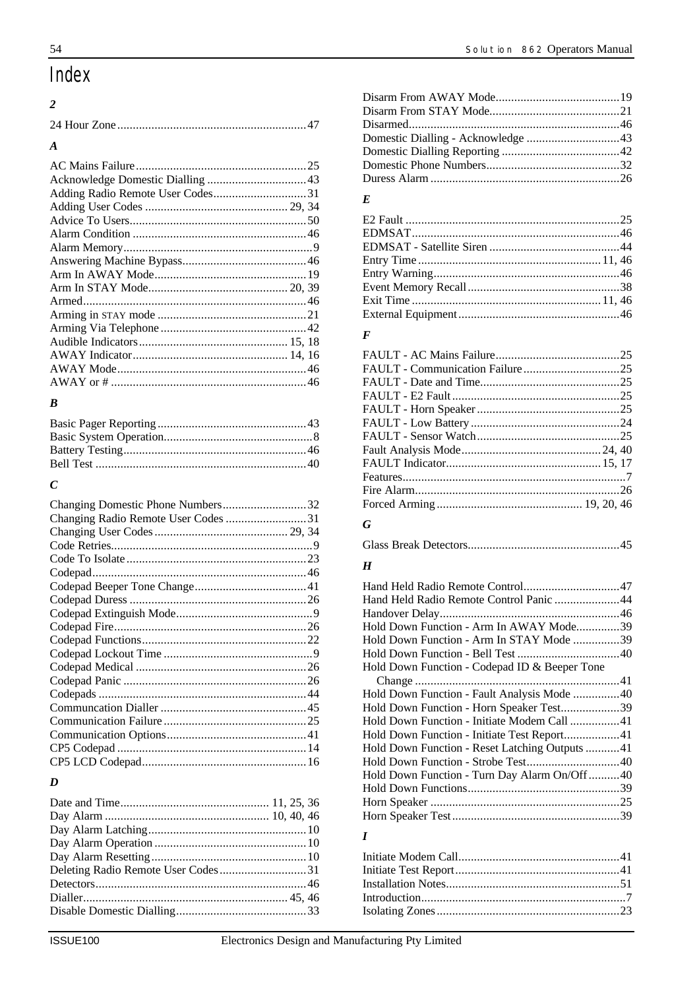# Index

#### $\overline{\phantom{a}}$

| $\boldsymbol{A}$ |  |
|------------------|--|
|                  |  |
|                  |  |
|                  |  |
|                  |  |
|                  |  |
|                  |  |
|                  |  |
|                  |  |
|                  |  |
|                  |  |
|                  |  |
|                  |  |
|                  |  |
|                  |  |
|                  |  |
|                  |  |
|                  |  |
|                  |  |

#### $\boldsymbol{B}$

# $\boldsymbol{C}$

| Changing Domestic Phone Numbers32   |
|-------------------------------------|
| Changing Radio Remote User Codes 31 |
|                                     |
|                                     |
|                                     |
|                                     |
|                                     |
|                                     |
|                                     |
|                                     |
|                                     |
|                                     |
|                                     |
|                                     |
|                                     |
|                                     |
|                                     |
|                                     |
|                                     |
|                                     |
|                                     |

#### $\boldsymbol{D}$

| Deleting Radio Remote User Codes31 |  |
|------------------------------------|--|
|                                    |  |
|                                    |  |
|                                    |  |
|                                    |  |

### $\boldsymbol{E}$

#### $\pmb{F}$

#### $\boldsymbol{G}$

|--|

#### $\boldsymbol{H}$

| Hand Held Radio Remote Control Panic 44        |  |
|------------------------------------------------|--|
|                                                |  |
| Hold Down Function - Arm In AWAY Mode39        |  |
| Hold Down Function - Arm In STAY Mode 39       |  |
|                                                |  |
| Hold Down Function - Codepad ID & Beeper Tone  |  |
|                                                |  |
| Hold Down Function - Fault Analysis Mode 40    |  |
| Hold Down Function - Horn Speaker Test39       |  |
| Hold Down Function - Initiate Modem Call 41    |  |
| Hold Down Function - Initiate Test Report41    |  |
| Hold Down Function - Reset Latching Outputs 41 |  |
| Hold Down Function - Strobe Test40             |  |
| Hold Down Function - Turn Day Alarm On/Off40   |  |
|                                                |  |
|                                                |  |
|                                                |  |
|                                                |  |

#### $\boldsymbol{I}$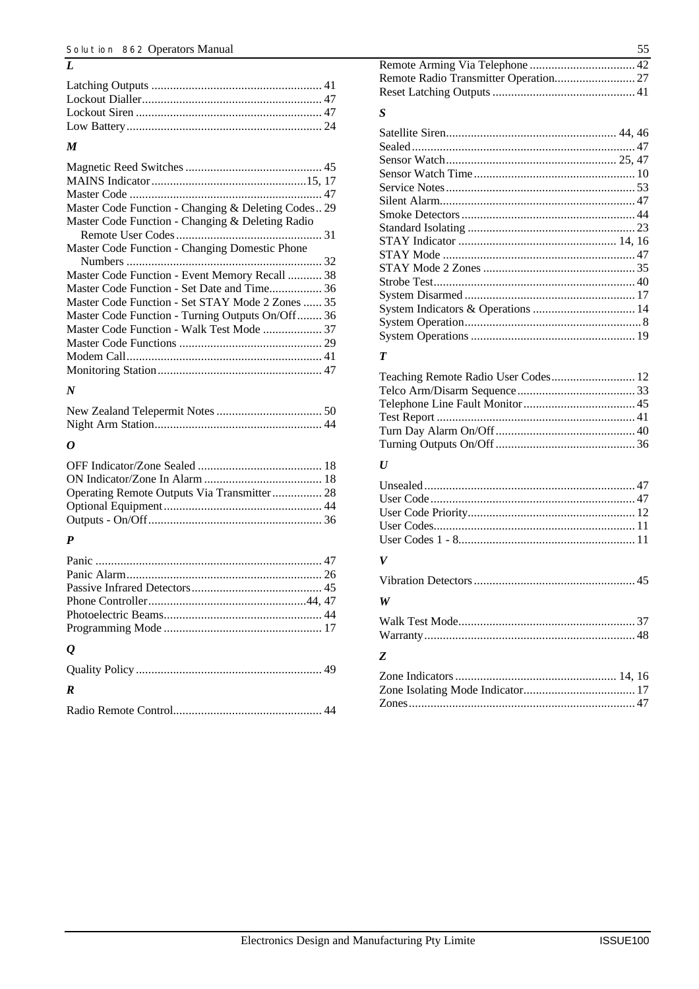#### *M*

*L*

| Master Code Function - Changing & Deleting Codes 29 |
|-----------------------------------------------------|
| Master Code Function - Changing & Deleting Radio    |
|                                                     |
| Master Code Function - Changing Domestic Phone      |
|                                                     |
| Master Code Function - Event Memory Recall  38      |
|                                                     |
| Master Code Function - Set STAY Mode 2 Zones  35    |
| Master Code Function - Turning Outputs On/Off 36    |
|                                                     |
|                                                     |
|                                                     |
|                                                     |
|                                                     |

#### *N*

### *O*

#### *P*

| $\boldsymbol{\varrho}$ |  |
|------------------------|--|
|                        |  |

### *R*

#### *S*

#### *T*

| Teaching Remote Radio User Codes 12 |  |
|-------------------------------------|--|
|                                     |  |
|                                     |  |
|                                     |  |
|                                     |  |
|                                     |  |

#### *U*

#### *V*